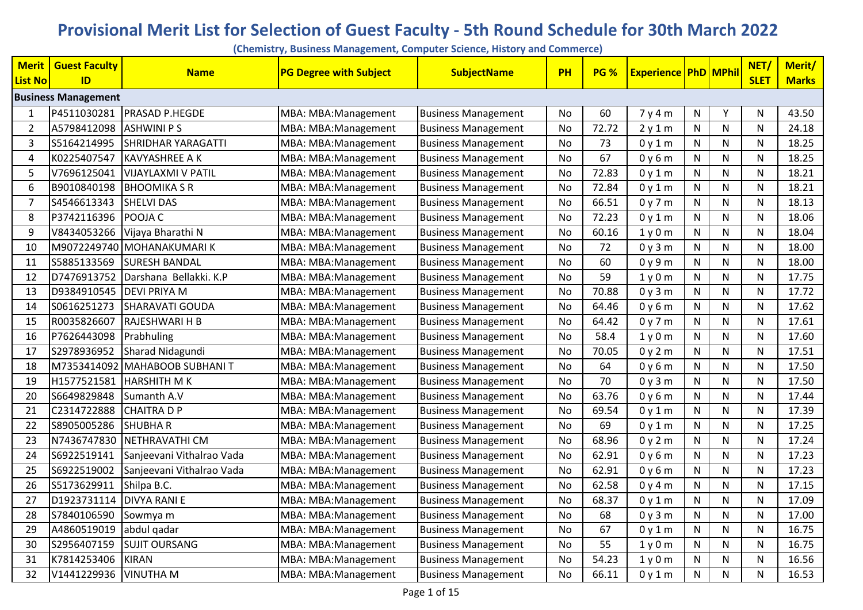## **Provisional Merit List for Selection of Guest Faculty - 5th Round Schedule for 30th March 2022**

**(Chemistry, Business Management, Computer Science, History and Commerce)**

| <b>Merit</b> | <b>Guest Faculty</b>       | <b>Name</b>               | <b>PG Degree with Subject</b> | <b>SubjectName</b>         | PH        | <b>PG %</b> | <b>Experience PhD MPhil</b> |              |   | NET/         | Merit/       |
|--------------|----------------------------|---------------------------|-------------------------------|----------------------------|-----------|-------------|-----------------------------|--------------|---|--------------|--------------|
| List No      | ID                         |                           |                               |                            |           |             |                             |              |   | <b>SLET</b>  | <b>Marks</b> |
|              | <b>Business Management</b> |                           |                               |                            |           |             |                             |              |   |              |              |
|              | P4511030281                | <b>PRASAD P.HEGDE</b>     | MBA: MBA: Management          | <b>Business Management</b> | No        | 60          | 7y4m                        | N            | Y | N            | 43.50        |
| 2            | A5798412098                | <b>ASHWINI PS</b>         | MBA: MBA: Management          | <b>Business Management</b> | No        | 72.72       | 2y1m                        | N            | N | N            | 24.18        |
| 3            | S5164214995                | SHRIDHAR YARAGATTI        | MBA: MBA: Management          | <b>Business Management</b> | No        | 73          | 0y1m                        | N            | N | N            | 18.25        |
| 4            | K0225407547                | <b>KAVYASHREE A K</b>     | MBA: MBA: Management          | <b>Business Management</b> | No.       | 67          | 0y6m                        | N            | N | N            | 18.25        |
| 5            | V7696125041                | <b>VIJAYLAXMI V PATIL</b> | MBA: MBA: Management          | <b>Business Management</b> | No        | 72.83       | 0y1m                        | N            | N | N            | 18.21        |
| 6            | B9010840198                | <b>BHOOMIKA S R</b>       | MBA: MBA: Management          | <b>Business Management</b> | <b>No</b> | 72.84       | 0y1m                        | ${\sf N}$    | N | $\mathsf{N}$ | 18.21        |
| 7            | S4546613343                | <b>SHELVI DAS</b>         | MBA: MBA: Management          | <b>Business Management</b> | No        | 66.51       | 0y7m                        | ${\sf N}$    | N | N            | 18.13        |
| 8            | P3742116396                | POOJA C                   | MBA: MBA: Management          | <b>Business Management</b> | No        | 72.23       | 0y1m                        | ${\sf N}$    | N | N            | 18.06        |
| 9            | V8434053266                | Vijaya Bharathi N         | MBA: MBA: Management          | <b>Business Management</b> | No        | 60.16       | 1y0m                        | N            | N | N            | 18.04        |
| 10           |                            | M9072249740 MOHANAKUMARIK | MBA: MBA: Management          | <b>Business Management</b> | No        | 72          | 0y3m                        | ${\sf N}$    | N | $\mathsf{N}$ | 18.00        |
| 11           | S5885133569                | <b>SURESH BANDAL</b>      | MBA: MBA: Management          | <b>Business Management</b> | No        | 60          | 0y9m                        | N            | N | N            | 18.00        |
| 12           | D7476913752                | Darshana Bellakki. K.P    | MBA: MBA: Management          | <b>Business Management</b> | No.       | 59          | 1y0m                        | ${\sf N}$    | N | N            | 17.75        |
| 13           | D9384910545                | <b>DEVI PRIYA M</b>       | MBA: MBA: Management          | <b>Business Management</b> | No        | 70.88       | 0y3m                        | N            | N | N            | 17.72        |
| 14           | S0616251273                | SHARAVATI GOUDA           | MBA: MBA: Management          | <b>Business Management</b> | No        | 64.46       | 0y6m                        | N            | N | N            | 17.62        |
| 15           | R0035826607                | RAJESHWARI H B            | MBA: MBA: Management          | <b>Business Management</b> | No        | 64.42       | 0y7m                        | N            | N | N            | 17.61        |
| 16           | P7626443098                | Prabhuling                | MBA: MBA: Management          | <b>Business Management</b> | No        | 58.4        | 1y0m                        | $\mathsf{N}$ | N | N            | 17.60        |
| 17           | S2978936952                | Sharad Nidagundi          | MBA: MBA: Management          | <b>Business Management</b> | No        | 70.05       | 0y2m                        | $\mathsf{N}$ | N | $\mathsf{N}$ | 17.51        |
| 18           | M7353414092                | MAHABOOB SUBHANI T        | MBA: MBA: Management          | <b>Business Management</b> | No        | 64          | 0y6m                        | N            | N | N            | 17.50        |
| 19           | H1577521581                | <b>HARSHITH MK</b>        | MBA: MBA: Management          | <b>Business Management</b> | No        | 70          | 0y3m                        | ${\sf N}$    | N | $\mathsf{N}$ | 17.50        |
| 20           | S6649829848                | Sumanth A.V               | MBA: MBA: Management          | <b>Business Management</b> | No        | 63.76       | 0y6m                        | N            | N | N            | 17.44        |
| 21           | C2314722888                | <b>CHAITRA D P</b>        | MBA: MBA: Management          | <b>Business Management</b> | No        | 69.54       | 0y1m                        | ${\sf N}$    | N | N            | 17.39        |
| 22           | S8905005286                | <b>SHUBHAR</b>            | MBA: MBA: Management          | <b>Business Management</b> | No.       | 69          | 0y1m                        | N            | N | N            | 17.25        |
| 23           | N7436747830                | NETHRAVATHI CM            | MBA: MBA: Management          | <b>Business Management</b> | No        | 68.96       | 0y2m                        | ${\sf N}$    | N | N            | 17.24        |
| 24           | S6922519141                | Sanjeevani Vithalrao Vada | MBA: MBA: Management          | <b>Business Management</b> | No        | 62.91       | 0y6m                        | N            | N | N            | 17.23        |
| 25           | S6922519002                | Sanjeevani Vithalrao Vada | MBA: MBA: Management          | <b>Business Management</b> | No        | 62.91       | 0y6m                        | N            | N | N            | 17.23        |
| 26           | S5173629911                | Shilpa B.C.               | MBA: MBA: Management          | <b>Business Management</b> | No        | 62.58       | 0y4m                        | N            | N | N            | 17.15        |
| 27           | D1923731114                | <b>DIVYA RANI E</b>       | MBA: MBA: Management          | <b>Business Management</b> | No        | 68.37       | 0y1m                        | N            | N | N            | 17.09        |
| 28           | S7840106590                | Sowmya m                  | MBA: MBA: Management          | <b>Business Management</b> | No        | 68          | 0y3m                        | $\mathsf{N}$ | N | $\mathsf{N}$ | 17.00        |
| 29           | A4860519019                | abdul gadar               | MBA: MBA: Management          | <b>Business Management</b> | No        | 67          | 0y1m                        | N            | N | N            | 16.75        |
| 30           | S2956407159                | <b>SUJIT OURSANG</b>      | MBA: MBA: Management          | <b>Business Management</b> | No        | 55          | 1y0m                        | ${\sf N}$    | N | N            | 16.75        |
| 31           | K7814253406                | <b>KIRAN</b>              | MBA: MBA: Management          | <b>Business Management</b> | No        | 54.23       | 1y0m                        | N            | N | N            | 16.56        |
| 32           | V1441229936                | <b>VINUTHA M</b>          | MBA: MBA: Management          | <b>Business Management</b> | No        | 66.11       | 0y1m                        | N            | N | N            | 16.53        |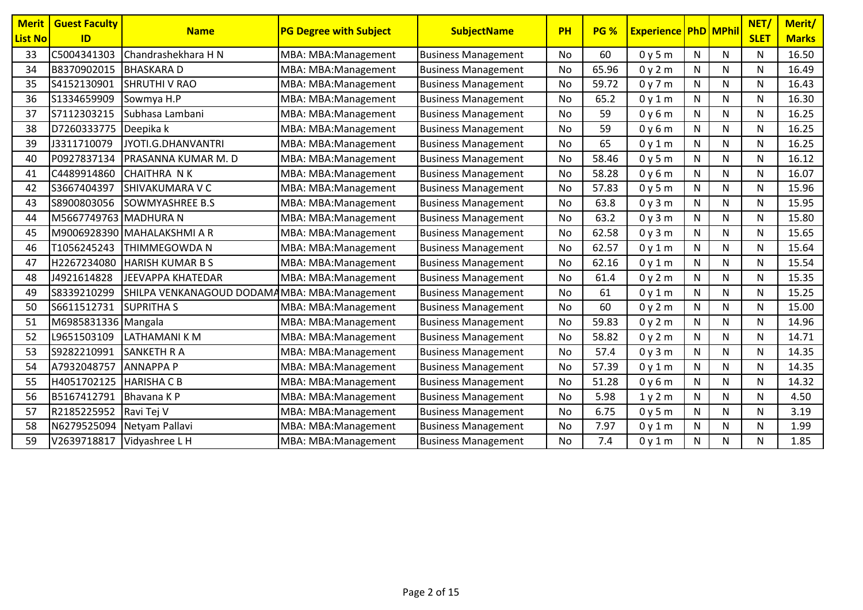| <b>Merit</b><br><b>List No</b> | <b>Guest Faculty</b><br>ID | <b>Name</b>                                   | <b>PG Degree with Subject</b> | <b>SubjectName</b>         | PH        | PG %  | <b>Experience PhD MPhil</b> |              |              | NET/<br><b>SLET</b> | Merit/<br><b>Marks</b> |
|--------------------------------|----------------------------|-----------------------------------------------|-------------------------------|----------------------------|-----------|-------|-----------------------------|--------------|--------------|---------------------|------------------------|
| 33                             | C5004341303                | Chandrashekhara H N                           | MBA: MBA: Management          | <b>Business Management</b> | No        | 60    | 0y5m                        | N            | N            | N                   | 16.50                  |
| 34                             | B8370902015                | <b>BHASKARAD</b>                              | MBA: MBA: Management          | <b>Business Management</b> | No        | 65.96 | 0y2m                        | ${\sf N}$    | N            | N                   | 16.49                  |
| 35                             | S4152130901                | <b>SHRUTHI V RAO</b>                          | MBA: MBA: Management          | <b>Business Management</b> | No        | 59.72 | 0y7m                        | N            | N            | N                   | 16.43                  |
| 36                             | S1334659909                | Sowmya H.P                                    | MBA: MBA: Management          | <b>Business Management</b> | <b>No</b> | 65.2  | 0y1m                        | N            | $\mathsf{N}$ | N                   | 16.30                  |
| 37                             | S7112303215                | Subhasa Lambani                               | MBA: MBA: Management          | <b>Business Management</b> | No        | 59    | 0y6m                        | N            | N            | N                   | 16.25                  |
| 38                             | D7260333775                | Deepika k                                     | MBA: MBA: Management          | <b>Business Management</b> | No        | 59    | 0y6m                        | $\mathsf{N}$ | N            | N                   | 16.25                  |
| 39                             | J3311710079                | JYOTI.G.DHANVANTRI                            | MBA: MBA: Management          | <b>Business Management</b> | No        | 65    | 0y1m                        | $\mathsf{N}$ | ${\sf N}$    | N                   | 16.25                  |
| 40                             | P0927837134                | PRASANNA KUMAR M. D                           | MBA: MBA: Management          | <b>Business Management</b> | No        | 58.46 | 0y5m                        | N            | N            | N                   | 16.12                  |
| 41                             | C4489914860                | <b>CHAITHRA NK</b>                            | MBA: MBA: Management          | <b>Business Management</b> | No        | 58.28 | 0y6m                        | N            | N            | N                   | 16.07                  |
| 42                             | S3667404397                | <b>SHIVAKUMARA V C</b>                        | MBA: MBA: Management          | <b>Business Management</b> | <b>No</b> | 57.83 | 0y5m                        | ${\sf N}$    | $\mathsf{N}$ | N                   | 15.96                  |
| 43                             | S8900803056                | <b>SOWMYASHREE B.S</b>                        | MBA: MBA: Management          | <b>Business Management</b> | <b>No</b> | 63.8  | 0y3m                        | $\mathsf{N}$ | $\mathsf{N}$ | N                   | 15.95                  |
| 44                             | M5667749763 MADHURA N      |                                               | MBA: MBA: Management          | <b>Business Management</b> | No        | 63.2  | 0y3m                        | N            | N            | N                   | 15.80                  |
| 45                             |                            | M9006928390 MAHALAKSHMI A R                   | MBA: MBA: Management          | <b>Business Management</b> | No        | 62.58 | 0y3m                        | N            | $\mathsf{N}$ | N                   | 15.65                  |
| 46                             | T1056245243                | THIMMEGOWDA N                                 | MBA: MBA: Management          | <b>Business Management</b> | No        | 62.57 | 0y1m                        | N            | N            | N                   | 15.64                  |
| 47                             | H2267234080                | <b>HARISH KUMAR B S</b>                       | MBA: MBA: Management          | <b>Business Management</b> | No        | 62.16 | 0y1m                        | $\mathsf{N}$ | $\mathsf{N}$ | N                   | 15.54                  |
| 48                             | J4921614828                | <b>JEEVAPPA KHATEDAR</b>                      | MBA: MBA: Management          | <b>Business Management</b> | No        | 61.4  | 0y2m                        | $\mathsf{N}$ | N            | N                   | 15.35                  |
| 49                             | S8339210299                | SHILPA VENKANAGOUD DODAMAMBA: MBA: Management |                               | <b>Business Management</b> | No        | 61    | 0y1m                        | ${\sf N}$    | $\mathsf{N}$ | N                   | 15.25                  |
| 50                             | S6611512731                | <b>SUPRITHAS</b>                              | MBA: MBA: Management          | <b>Business Management</b> | No        | 60    | 0y2m                        | ${\sf N}$    | N            | N                   | 15.00                  |
| 51                             | M6985831336 Mangala        |                                               | MBA: MBA: Management          | <b>Business Management</b> | No        | 59.83 | 0y2m                        | N            | N            | N                   | 14.96                  |
| 52                             | L9651503109                | <b>LATHAMANI K M</b>                          | MBA: MBA: Management          | <b>Business Management</b> | <b>No</b> | 58.82 | 0y2m                        | $\mathsf{N}$ | $\mathsf{N}$ | N                   | 14.71                  |
| 53                             | S9282210991                | <b>SANKETH R A</b>                            | MBA: MBA: Management          | <b>Business Management</b> | No        | 57.4  | 0y3m                        | N            | N            | N                   | 14.35                  |
| 54                             | A7932048757                | <b>ANNAPPAP</b>                               | MBA: MBA: Management          | <b>Business Management</b> | No        | 57.39 | 0y1m                        | N            | N            | N                   | 14.35                  |
| 55                             | H4051702125                | <b>HARISHA C B</b>                            | MBA: MBA: Management          | <b>Business Management</b> | No        | 51.28 | 0y6m                        | N            | N            | N                   | 14.32                  |
| 56                             | B5167412791                | Bhavana K P                                   | MBA: MBA: Management          | <b>Business Management</b> | No        | 5.98  | 1y2m                        | $\mathsf{N}$ | N            | N                   | 4.50                   |
| 57                             | R2185225952                | Ravi Tej V                                    | MBA: MBA: Management          | <b>Business Management</b> | No        | 6.75  | 0y5m                        | N            | N            | N                   | 3.19                   |
| 58                             | N6279525094                | Netyam Pallavi                                | MBA: MBA: Management          | <b>Business Management</b> | No        | 7.97  | 0y1m                        | N            | N            | N                   | 1.99                   |
| 59                             | V2639718817                | Vidyashree L H                                | MBA: MBA: Management          | <b>Business Management</b> | No        | 7.4   | 0y1m                        | ${\sf N}$    | N            | N                   | 1.85                   |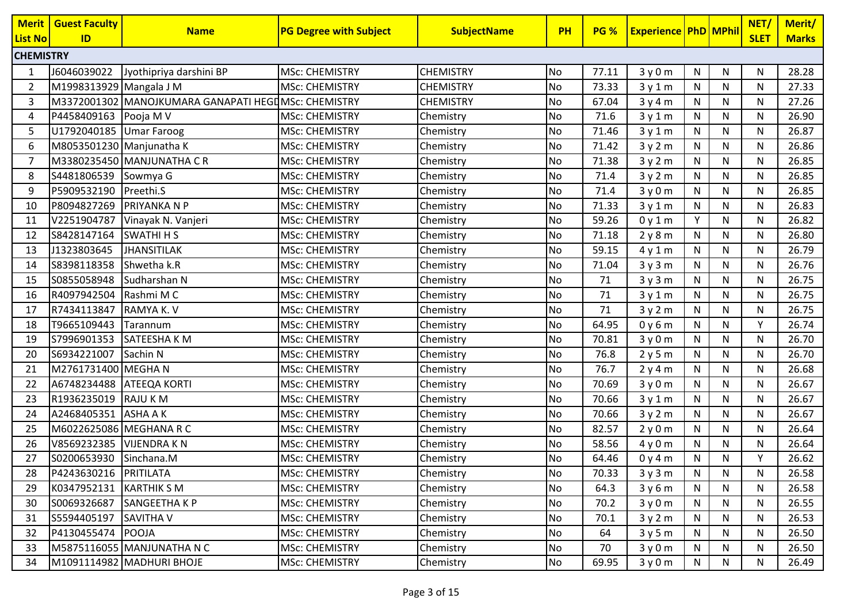| <b>Merit</b>     | <b>Guest Faculty</b>     | <b>Name</b>                                         | <b>PG Degree with Subject</b> | <b>SubjectName</b> | <b>PH</b> | <b>PG %</b> | <b>Experience   PhD   MPhil</b> |              |              | NET/        | Merit/       |
|------------------|--------------------------|-----------------------------------------------------|-------------------------------|--------------------|-----------|-------------|---------------------------------|--------------|--------------|-------------|--------------|
| <b>List No</b>   | ID                       |                                                     |                               |                    |           |             |                                 |              |              | <b>SLET</b> | <b>Marks</b> |
| <b>CHEMISTRY</b> |                          |                                                     |                               |                    |           |             |                                 |              |              |             |              |
| 1                | J6046039022              | Jyothipriya darshini BP                             | <b>MSc: CHEMISTRY</b>         | <b>CHEMISTRY</b>   | <b>No</b> | 77.11       | 3y0m                            | $\mathsf{N}$ | N            | N           | 28.28        |
| 2                | M1998313929 Mangala J M  |                                                     | <b>MSc: CHEMISTRY</b>         | <b>CHEMISTRY</b>   | No        | 73.33       | 3y1m                            | N            | $\mathsf{N}$ | N           | 27.33        |
| 3                |                          | M3372001302 MANOJKUMARA GANAPATI HEGUMSC: CHEMISTRY |                               | <b>CHEMISTRY</b>   | No        | 67.04       | 3y4m                            | N            | N            | N           | 27.26        |
| 4                | P4458409163 Pooja M V    |                                                     | <b>MSc: CHEMISTRY</b>         | Chemistry          | No        | 71.6        | 3y1m                            | N            | N            | N           | 26.90        |
| 5                | U1792040185 Umar Faroog  |                                                     | <b>MSc: CHEMISTRY</b>         | Chemistry          | No        | 71.46       | 3y1m                            | N            | N            | N           | 26.87        |
| 6                | M8053501230 Manjunatha K |                                                     | <b>MSc: CHEMISTRY</b>         | Chemistry          | <b>No</b> | 71.42       | 3y2m                            | ${\sf N}$    | ${\sf N}$    | N           | 26.86        |
| 7                |                          | M3380235450 MANJUNATHA CR                           | <b>MSc: CHEMISTRY</b>         | Chemistry          | No        | 71.38       | 3y2m                            | N            | N            | N           | 26.85        |
| 8                | S4481806539              | Sowmya G                                            | <b>MSc: CHEMISTRY</b>         | Chemistry          | <b>No</b> | 71.4        | 3y2m                            | N            | N            | N           | 26.85        |
| 9                | P5909532190              | Preethi.S                                           | <b>MSc: CHEMISTRY</b>         | Chemistry          | No        | 71.4        | 3y0m                            | N            | N            | N           | 26.85        |
| 10               | P8094827269              | PRIYANKA N P                                        | <b>MSc: CHEMISTRY</b>         | Chemistry          | No        | 71.33       | 3y1m                            | N            | N            | N           | 26.83        |
| 11               | V2251904787              | Vinayak N. Vanjeri                                  | <b>MSc: CHEMISTRY</b>         | Chemistry          | No        | 59.26       | 0y1m                            | Y            | N            | N           | 26.82        |
| 12               | S8428147164              | <b>SWATHI H S</b>                                   | <b>MSc: CHEMISTRY</b>         | Chemistry          | No        | 71.18       | 2y8m                            | N            | ${\sf N}$    | N           | 26.80        |
| 13               | J1323803645              | <b>JHANSITILAK</b>                                  | <b>MSc: CHEMISTRY</b>         | Chemistry          | <b>No</b> | 59.15       | 4y1m                            | N            | ${\sf N}$    | N           | 26.79        |
| 14               | S8398118358              | Shwetha k.R                                         | <b>MSc: CHEMISTRY</b>         | Chemistry          | <b>No</b> | 71.04       | 3y3m                            | N            | N            | N           | 26.76        |
| 15               | S0855058948              | Sudharshan N                                        | <b>MSc: CHEMISTRY</b>         | Chemistry          | <b>No</b> | 71          | 3y3m                            | N            | N            | N           | 26.75        |
| 16               | R4097942504              | Rashmi M C                                          | <b>MSc: CHEMISTRY</b>         | Chemistry          | No        | 71          | 3y1m                            | N            | N            | N           | 26.75        |
| 17               | R7434113847              | RAMYA K. V                                          | <b>MSc: CHEMISTRY</b>         | Chemistry          | No        | 71          | 3y2m                            | N            | N            | N           | 26.75        |
| 18               | T9665109443              | Tarannum                                            | <b>MSc: CHEMISTRY</b>         | Chemistry          | No        | 64.95       | 0y6m                            | N            | ${\sf N}$    | Y           | 26.74        |
| 19               | S7996901353              | SATEESHA K M                                        | <b>MSc: CHEMISTRY</b>         | Chemistry          | No        | 70.81       | 3y0m                            | N            | N            | N           | 26.70        |
| 20               | S6934221007              | Sachin N                                            | <b>MSc: CHEMISTRY</b>         | Chemistry          | <b>No</b> | 76.8        | 2y5m                            | N            | ${\sf N}$    | N           | 26.70        |
| 21               | M2761731400 MEGHAN       |                                                     | <b>MSc: CHEMISTRY</b>         | Chemistry          | No        | 76.7        | 2y4m                            | N            | N            | N           | 26.68        |
| 22               | A6748234488 ATEEQA KORTI |                                                     | <b>MSc: CHEMISTRY</b>         | Chemistry          | No        | 70.69       | 3y0m                            | N            | N            | N           | 26.67        |
| 23               | R1936235019              | <b>RAJU KM</b>                                      | <b>MSc: CHEMISTRY</b>         | Chemistry          | No        | 70.66       | 3y1m                            | N            | N            | N           | 26.67        |
| 24               | A2468405351 ASHA AK      |                                                     | <b>MSc: CHEMISTRY</b>         | Chemistry          | No        | 70.66       | 3y2m                            | N            | N            | N           | 26.67        |
| 25               | M6022625086 MEGHANA R C  |                                                     | <b>MSc: CHEMISTRY</b>         | Chemistry          | <b>No</b> | 82.57       | 2y0m                            | ${\sf N}$    | ${\sf N}$    | N           | 26.64        |
| 26               | V8569232385              | <b>VIJENDRAKN</b>                                   | <b>MSc: CHEMISTRY</b>         | Chemistry          | No        | 58.56       | 4y0m                            | N            | N            | N           | 26.64        |
| 27               | S0200653930              | Sinchana.M                                          | <b>MSc: CHEMISTRY</b>         | Chemistry          | No        | 64.46       | 0y4m                            | N            | N            | Y           | 26.62        |
| 28               | P4243630216 PRITILATA    |                                                     | <b>MSc: CHEMISTRY</b>         | Chemistry          | No        | 70.33       | 3y3m                            | ${\sf N}$    | ${\sf N}$    | N           | 26.58        |
| 29               | K0347952131              | <b>KARTHIK S M</b>                                  | <b>MSc: CHEMISTRY</b>         | Chemistry          | No        | 64.3        | 3y6m                            | N            | N.           | N           | 26.58        |
| 30               | S0069326687              | SANGEETHA K P                                       | <b>MSc: CHEMISTRY</b>         | Chemistry          | <b>No</b> | 70.2        | 3y0m                            | N            | N            | N           | 26.55        |
| 31               | S5594405197 SAVITHA V    |                                                     | <b>MSc: CHEMISTRY</b>         | Chemistry          | No        | 70.1        | 3y2m                            | N            | N            | N           | 26.53        |
| 32               | P4130455474 POOJA        |                                                     | <b>MSc: CHEMISTRY</b>         | Chemistry          | No        | 64          | 3y5m                            | $\mathsf{N}$ | N            | N           | 26.50        |
| 33               |                          | M5875116055 MANJUNATHA N C                          | <b>MSc: CHEMISTRY</b>         | Chemistry          | No        | 70          | 3y0m                            | N            | N            | N           | 26.50        |
| 34               |                          | M1091114982 MADHURI BHOJE                           | <b>MSc: CHEMISTRY</b>         | Chemistry          | <b>No</b> | 69.95       | 3y0m                            | N            | N            | N           | 26.49        |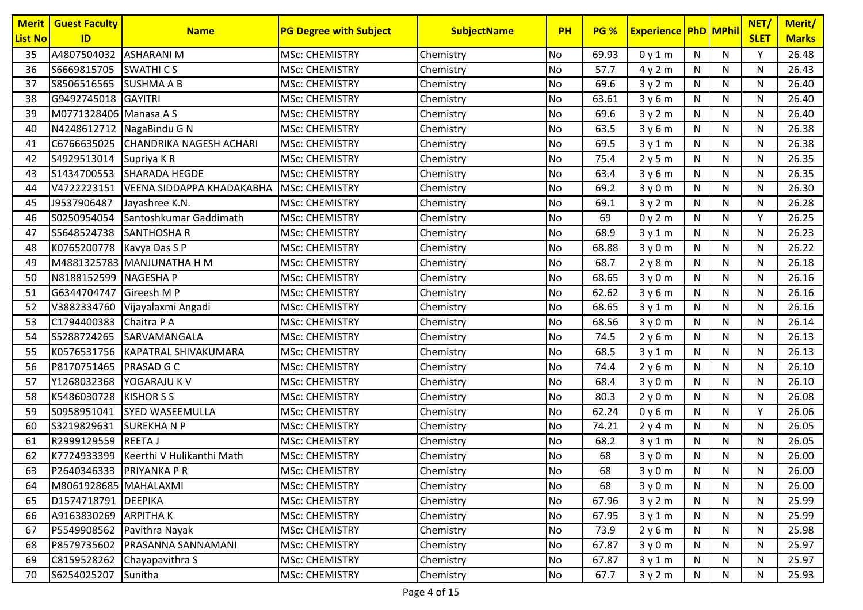| <b>Merit</b><br><b>List No</b> | <b>Guest Faculty</b><br>ID  | <b>Name</b>                         | <b>PG Degree with Subject</b> | <b>SubjectName</b> | <b>PH</b> | <b>PG %</b> | <b>Experience PhD MPhil</b> |              |              | NET/<br><b>SLET</b> | Merit/<br><b>Marks</b> |
|--------------------------------|-----------------------------|-------------------------------------|-------------------------------|--------------------|-----------|-------------|-----------------------------|--------------|--------------|---------------------|------------------------|
| 35                             | A4807504032 ASHARANI M      |                                     | <b>MSc: CHEMISTRY</b>         | Chemistry          | No        | 69.93       | 0y1m                        | N            | N            | Y                   | 26.48                  |
| 36                             | S6669815705                 | SWATHI C S                          | <b>MSc: CHEMISTRY</b>         | Chemistry          | <b>No</b> | 57.7        | 4y2m                        | N            | N            | N                   | 26.43                  |
| 37                             | S8506516565                 | <b>SUSHMA A B</b>                   | <b>MSc: CHEMISTRY</b>         | Chemistry          | No        | 69.6        | 3y2m                        | N            | N            | N                   | 26.40                  |
| 38                             | G9492745018 GAYITRI         |                                     | <b>MSc: CHEMISTRY</b>         | Chemistry          | No        | 63.61       | 3y6m                        | N            | N            | N                   | 26.40                  |
| 39                             | M0771328406 Manasa A S      |                                     | <b>MSc: CHEMISTRY</b>         | Chemistry          | No        | 69.6        | 3y2m                        | N            | N            | N                   | 26.40                  |
| 40                             |                             | N4248612712 NagaBindu G N           | <b>MSc: CHEMISTRY</b>         | Chemistry          | No        | 63.5        | 3y6m                        | N            | ${\sf N}$    | N                   | 26.38                  |
| 41                             |                             | C6766635025 CHANDRIKA NAGESH ACHARI | <b>MSc: CHEMISTRY</b>         | Chemistry          | No        | 69.5        | 3y1m                        | N            | N            | N                   | 26.38                  |
| 42                             | S4929513014                 | Supriya KR                          | <b>MSc: CHEMISTRY</b>         | Chemistry          | No        | 75.4        | 2y5m                        | N            | ${\sf N}$    | N                   | 26.35                  |
| 43                             | S1434700553                 | <b>SHARADA HEGDE</b>                | <b>MSc: CHEMISTRY</b>         | Chemistry          | No        | 63.4        | 3y6m                        | N            | N            | N                   | 26.35                  |
| 44                             | V4722223151                 | VEENA SIDDAPPA KHADAKABHA           | <b>MSc: CHEMISTRY</b>         | Chemistry          | No        | 69.2        | 3y0m                        | N            | N            | N                   | 26.30                  |
| 45                             | J9537906487                 | Jayashree K.N.                      | <b>MSc: CHEMISTRY</b>         | Chemistry          | No        | 69.1        | 3y2m                        | N            | N            | N                   | 26.28                  |
| 46                             | S0250954054                 | Santoshkumar Gaddimath              | <b>MSc: CHEMISTRY</b>         | Chemistry          | No        | 69          | 0y2m                        | N            | N            | Υ                   | 26.25                  |
| 47                             | S5648524738                 | <b>SANTHOSHA R</b>                  | <b>MSc: CHEMISTRY</b>         | Chemistry          | No        | 68.9        | 3y1m                        | $\mathsf{N}$ | N            | N                   | 26.23                  |
| 48                             | K0765200778   Kavya Das S P |                                     | <b>MSc: CHEMISTRY</b>         | Chemistry          | No        | 68.88       | 3y0m                        | N            | N            | N                   | 26.22                  |
| 49                             |                             | M4881325783 MANJUNATHA H M          | <b>MSc: CHEMISTRY</b>         | Chemistry          | No        | 68.7        | 2y8m                        | N            | N            | N                   | 26.18                  |
| 50                             | N8188152599 NAGESHA P       |                                     | <b>MSc: CHEMISTRY</b>         | Chemistry          | No        | 68.65       | 3y0m                        | N            | N            | N                   | 26.16                  |
| 51                             | G6344704747 Gireesh M P     |                                     | <b>MSc: CHEMISTRY</b>         | Chemistry          | No        | 62.62       | 3y6m                        | N            | N            | N                   | 26.16                  |
| 52                             |                             | V3882334760 Vijayalaxmi Angadi      | <b>MSc: CHEMISTRY</b>         | Chemistry          | No        | 68.65       | 3y1m                        | $\mathsf{N}$ | $\mathsf{N}$ | N                   | 26.16                  |
| 53                             | C1794400383                 | Chaitra P A                         | <b>MSc: CHEMISTRY</b>         | Chemistry          | No        | 68.56       | 3y0m                        | $\mathsf{N}$ | N            | N                   | 26.14                  |
| 54                             | S5288724265                 | <b>SARVAMANGALA</b>                 | <b>MSc: CHEMISTRY</b>         | Chemistry          | No        | 74.5        | 2y6m                        | N            | ${\sf N}$    | N                   | 26.13                  |
| 55                             |                             | K0576531756 KAPATRAL SHIVAKUMARA    | <b>MSc: CHEMISTRY</b>         | Chemistry          | No        | 68.5        | 3y1m                        | N            | N            | N                   | 26.13                  |
| 56                             | P8170751465   PRASAD G C    |                                     | <b>MSc: CHEMISTRY</b>         | Chemistry          | No        | 74.4        | 2y6m                        | N            | N            | N                   | 26.10                  |
| 57                             | Y1268032368                 | <b>YOGARAJU K V</b>                 | <b>MSc: CHEMISTRY</b>         | Chemistry          | No        | 68.4        | 3y0m                        | N            | N            | N                   | 26.10                  |
| 58                             | K5486030728                 | <b>KISHOR S S</b>                   | <b>MSc: CHEMISTRY</b>         | Chemistry          | No        | 80.3        | 2y0m                        | N            | N            | N                   | 26.08                  |
| 59                             | S0958951041                 | <b>SYED WASEEMULLA</b>              | <b>MSc: CHEMISTRY</b>         | Chemistry          | No        | 62.24       | 0y6m                        | $\mathsf{N}$ | ${\sf N}$    | Y                   | 26.06                  |
| 60                             | S3219829631                 | <b>SUREKHANP</b>                    | <b>MSc: CHEMISTRY</b>         | Chemistry          | No        | 74.21       | 2y4m                        | N            | N            | N                   | 26.05                  |
| 61                             | R2999129559                 | <b>REETAJ</b>                       | <b>MSc: CHEMISTRY</b>         | Chemistry          | No        | 68.2        | 3y1m                        | N            | ${\sf N}$    | N                   | 26.05                  |
| 62                             | K7724933399                 | Keerthi V Hulikanthi Math           | <b>MSc: CHEMISTRY</b>         | Chemistry          | No        | 68          | 3y0m                        | N            | N            | N                   | 26.00                  |
| 63                             | P2640346333 PRIYANKA PR     |                                     | <b>MSc: CHEMISTRY</b>         | Chemistry          | <b>No</b> | 68          | 3y0m                        | N            | N            | N                   | 26.00                  |
| 64                             | M8061928685 MAHALAXMI       |                                     | <b>MSc: CHEMISTRY</b>         | Chemistry          | <b>No</b> | 68          | 3y0m                        | N            | ${\sf N}$    | N                   | 26.00                  |
| 65                             | D1574718791 DEEPIKA         |                                     | <b>MSc: CHEMISTRY</b>         | Chemistry          | No        | 67.96       | 3y2m                        | N            | N            | N                   | 25.99                  |
| 66                             | A9163830269 ARPITHA K       |                                     | <b>MSc: CHEMISTRY</b>         | Chemistry          | No        | 67.95       | 3y1m                        | $\mathsf{N}$ | N            | N                   | 25.99                  |
| 67                             |                             | P5549908562 Pavithra Nayak          | <b>MSc: CHEMISTRY</b>         | Chemistry          | No        | 73.9        | 2y6m                        | N            | N            | N                   | 25.98                  |
| 68                             |                             | P8579735602   PRASANNA SANNAMANI    | <b>MSc: CHEMISTRY</b>         | Chemistry          | No        | 67.87       | 3y0m                        | N            | N            | N                   | 25.97                  |
| 69                             | C8159528262                 | Chayapavithra S                     | <b>MSc: CHEMISTRY</b>         | Chemistry          | No        | 67.87       | 3y1m                        | N            | N            | N                   | 25.97                  |
| 70                             | S6254025207                 | Sunitha                             | <b>MSc: CHEMISTRY</b>         | Chemistry          | No        | 67.7        | 3y2m                        | N            | N            | N                   | 25.93                  |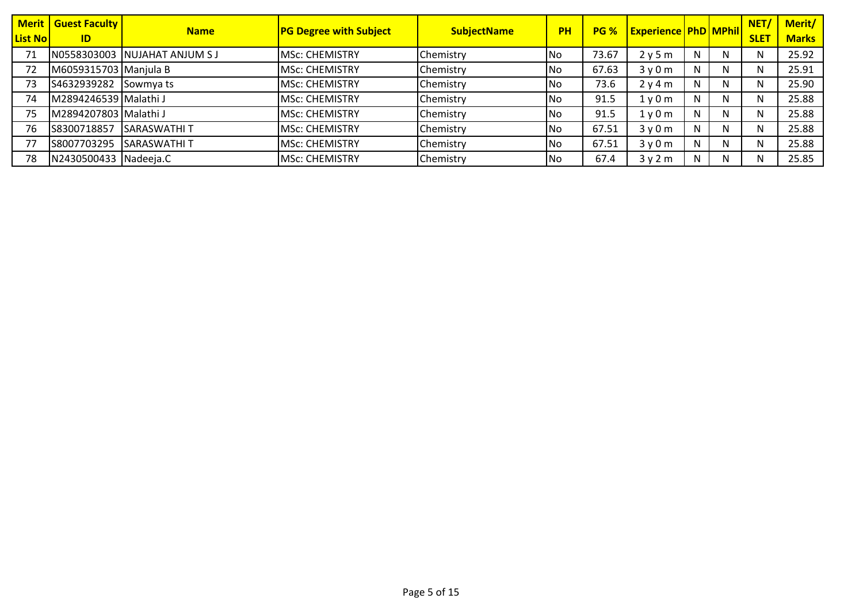| <b>List No</b> | <b>Merit   Guest Faculty  </b><br>ID | <b>Name</b>                   | <b>PG Degree with Subject</b> | <b>SubjectName</b> | <b>PH</b> | <b>PG %</b> | <b>Experience PhD MPhil</b> |    |    | NET/<br><b>SLET</b> | Merit/<br><b>Marks</b> |
|----------------|--------------------------------------|-------------------------------|-------------------------------|--------------------|-----------|-------------|-----------------------------|----|----|---------------------|------------------------|
| 71             |                                      | N0558303003 NUJAHAT ANJUM S J | <b>MSC: CHEMISTRY</b>         | Chemistry          | <b>No</b> | 73.67       | 2y5m                        | N  | N. |                     | 25.92                  |
| 72             | M6059315703 Manjula B                |                               | <b>MSC: CHEMISTRY</b>         | Chemistry          | <b>No</b> | 67.63       | 3y0m                        | N  | N  |                     | 25.91                  |
| 73             | S4632939282                          | Sowmya ts                     | <b>MSC: CHEMISTRY</b>         | Chemistry          | <b>No</b> | 73.6        | 2y4m                        | N  | N  |                     | 25.90                  |
| 74             | M2894246539 Malathi J                |                               | <b>MSc: CHEMISTRY</b>         | Chemistry          | <b>No</b> | 91.5        | 1y0m                        | N  | N  |                     | 25.88                  |
| 75             | M2894207803 Malathi J                |                               | <b>MSc: CHEMISTRY</b>         | Chemistry          | <b>No</b> | 91.5        | 1y0m                        | N  | N  |                     | 25.88                  |
| 76             | S8300718857                          | <b>SARASWATHIT</b>            | <b>MSC: CHEMISTRY</b>         | Chemistry          | l No      | 67.51       | 3y0m                        | N  | N  |                     | 25.88                  |
|                | S8007703295                          | <b>SARASWATHIT</b>            | MSc: CHEMISTRY                | Chemistry          | <b>No</b> | 67.51       | 3y0m                        | N. | N  |                     | 25.88                  |
| 78             | N2430500433 Nadeeja.C                |                               | <b>MSc: CHEMISTRY</b>         | Chemistry          | <b>No</b> | 67.4        | 3y2m                        | N  | N  |                     | 25.85                  |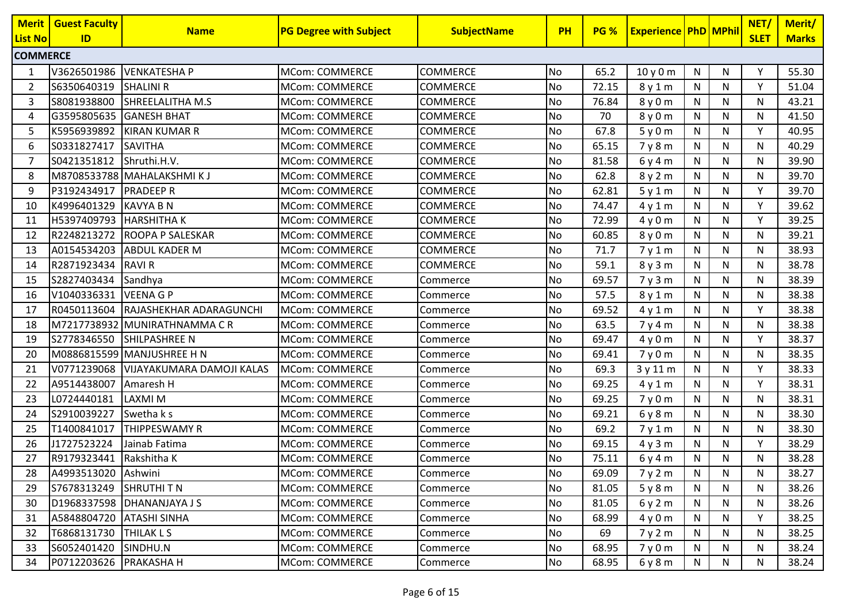| <b>Merit</b>    | <b>Guest Faculty</b>     | <b>Name</b>                  | <b>PG Degree with Subject</b> | <b>SubjectName</b> | <b>PH</b> | <b>PG %</b> | <b>Experience PhD MPhil</b> |              |           | NET/        | Merit/       |
|-----------------|--------------------------|------------------------------|-------------------------------|--------------------|-----------|-------------|-----------------------------|--------------|-----------|-------------|--------------|
| <b>List No</b>  | ID                       |                              |                               |                    |           |             |                             |              |           | <b>SLET</b> | <b>Marks</b> |
| <b>COMMERCE</b> |                          |                              |                               |                    |           |             |                             |              |           |             |              |
| -1              | V3626501986              | <b>VENKATESHA P</b>          | MCom: COMMERCE                | <b>COMMERCE</b>    | No        | 65.2        | 10y0m                       | $\mathsf{N}$ | N         | Y           | 55.30        |
| 2               | S6350640319              | <b>SHALINI R</b>             | <b>MCom: COMMERCE</b>         | <b>COMMERCE</b>    | No        | 72.15       | 8y1m                        | N            | N         | Y           | 51.04        |
| 3               | S8081938800              | SHREELALITHA M.S             | <b>MCom: COMMERCE</b>         | COMMERCE           | No        | 76.84       | 8y0m                        | N            | N         | N           | 43.21        |
| 4               | G3595805635 GANESH BHAT  |                              | <b>MCom: COMMERCE</b>         | <b>COMMERCE</b>    | No        | 70          | 8 y 0 m                     | N            | N         | N           | 41.50        |
| 5               | K5956939892              | <b>KIRAN KUMAR R</b>         | <b>MCom: COMMERCE</b>         | COMMERCE           | No        | 67.8        | 5y0m                        | N            | N         | V           | 40.95        |
| 6               | S0331827417              | <b>SAVITHA</b>               | <b>MCom: COMMERCE</b>         | <b>COMMERCE</b>    | No        | 65.15       | 7y8m                        | ${\sf N}$    | ${\sf N}$ | N           | 40.29        |
| 7               | S0421351812              | Shruthi.H.V.                 | <b>MCom: COMMERCE</b>         | COMMERCE           | No        | 81.58       | 6y4m                        | N            | N         | N           | 39.90        |
| 8               |                          | M8708533788 MAHALAKSHMI KJ   | <b>MCom: COMMERCE</b>         | <b>COMMERCE</b>    | No        | 62.8        | 8 y 2 m                     | N            | N         | N           | 39.70        |
| 9               | P3192434917              | <b>PRADEEPR</b>              | <b>MCom: COMMERCE</b>         | <b>COMMERCE</b>    | No        | 62.81       | 5y1m                        | N            | N         | Y           | 39.70        |
| 10              | K4996401329              | <b>KAVYA B N</b>             | <b>MCom: COMMERCE</b>         | COMMERCE           | No        | 74.47       | 4y1m                        | N            | N         | V           | 39.62        |
| 11              | H5397409793 HARSHITHA K  |                              | <b>MCom: COMMERCE</b>         | <b>COMMERCE</b>    | No        | 72.99       | 4y0m                        | $\mathsf{N}$ | N         | V           | 39.25        |
| 12              | R2248213272              | <b>ROOPA P SALESKAR</b>      | <b>MCom: COMMERCE</b>         | COMMERCE           | No        | 60.85       | 8 y 0 m                     | N            | N         | N           | 39.21        |
| 13              | A0154534203              | <b>ABDUL KADER M</b>         | <b>MCom: COMMERCE</b>         | COMMERCE           | No        | 71.7        | 7y1m                        | N            | N         | N           | 38.93        |
| 14              | R2871923434              | <b>RAVIR</b>                 | <b>MCom: COMMERCE</b>         | <b>COMMERCE</b>    | No        | 59.1        | 8y3m                        | N            | N         | N           | 38.78        |
| 15              | S2827403434              | Sandhya                      | <b>MCom: COMMERCE</b>         | Commerce           | No        | 69.57       | 7y3m                        | N            | N         | N           | 38.39        |
| 16              | V1040336331              | <b>VEENA G P</b>             | MCom: COMMERCE                | Commerce           | No        | 57.5        | 8y1m                        | N            | ${\sf N}$ | N           | 38.38        |
| 17              | R0450113604              | RAJASHEKHAR ADARAGUNCHI      | <b>MCom: COMMERCE</b>         | Commerce           | No        | 69.52       | 4y1m                        | N            | N         | v           | 38.38        |
| 18              |                          | M7217738932 MUNIRATHNAMMA CR | <b>MCom: COMMERCE</b>         | Commerce           | <b>No</b> | 63.5        | 7y4m                        | $\mathsf{N}$ | N         | N           | 38.38        |
| 19              | S2778346550              | SHILPASHREE N                | <b>MCom: COMMERCE</b>         | Commerce           | No        | 69.47       | 4y0m                        | N            | N         | v           | 38.37        |
| 20              |                          | M0886815599 MANJUSHREE H N   | <b>MCom: COMMERCE</b>         | Commerce           | No        | 69.41       | 7y0m                        | N            | N         | N           | 38.35        |
| 21              | V0771239068              | VIJAYAKUMARA DAMOJI KALAS    | MCom: COMMERCE                | Commerce           | No        | 69.3        | 3 y 11 m                    | N            | N         | Y           | 38.33        |
| 22              | A9514438007              | Amaresh H                    | <b>MCom: COMMERCE</b>         | Commerce           | No        | 69.25       | 4y1m                        | N            | N         | $\vee$      | 38.31        |
| 23              | L0724440181              | <b>LAXMI M</b>               | <b>MCom: COMMERCE</b>         | Commerce           | No        | 69.25       | 7y0m                        | N            | N         | N           | 38.31        |
| 24              | S2910039227              | Swetha k s                   | <b>MCom: COMMERCE</b>         | Commerce           | No        | 69.21       | 6y8m                        | N            | N         | N           | 38.30        |
| 25              | T1400841017              | THIPPESWAMY R                | <b>MCom: COMMERCE</b>         | Commerce           | No        | 69.2        | 7y1m                        | ${\sf N}$    | ${\sf N}$ | N           | 38.30        |
| 26              | J1727523224              | Jainab Fatima                | <b>MCom: COMMERCE</b>         | Commerce           | No        | 69.15       | 4y3m                        | N            | N         | Y           | 38.29        |
| 27              | R9179323441 Rakshitha K  |                              | <b>MCom: COMMERCE</b>         | Commerce           | No        | 75.11       | 6y4m                        | N            | N         | N           | 38.28        |
| 28              | A4993513020 Ashwini      |                              | <b>MCom: COMMERCE</b>         | Commerce           | No        | 69.09       | 7y2m                        | ${\sf N}$    | ${\sf N}$ | N           | 38.27        |
| 29              | S7678313249 SHRUTHI T N  |                              | MCom: COMMERCE                | Commerce           | No        | 81.05       | 5y8m                        | N            | N.        | N           | 38.26        |
| 30              |                          | D1968337598 DHANANJAYA J S   | MCom: COMMERCE                | Commerce           | <b>No</b> | 81.05       | 6y2m                        | N            | N         | N           | 38.26        |
| 31              | A5848804720 ATASHI SINHA |                              | <b>MCom: COMMERCE</b>         | Commerce           | No        | 68.99       | 4y0m                        | N            | N         | Y           | 38.25        |
| 32              | T6868131730   THILAK L S |                              | MCom: COMMERCE                | Commerce           | No        | 69          | 7y2m                        | N            | N         | N           | 38.25        |
| 33              | S6052401420              | SINDHU.N                     | MCom: COMMERCE                | Commerce           | <b>No</b> | 68.95       | 7y0m                        | N            | N         | N           | 38.24        |
| 34              | P0712203626 PRAKASHA H   |                              | MCom: COMMERCE                | Commerce           | No        | 68.95       | 6y8m                        | N            | N         | N           | 38.24        |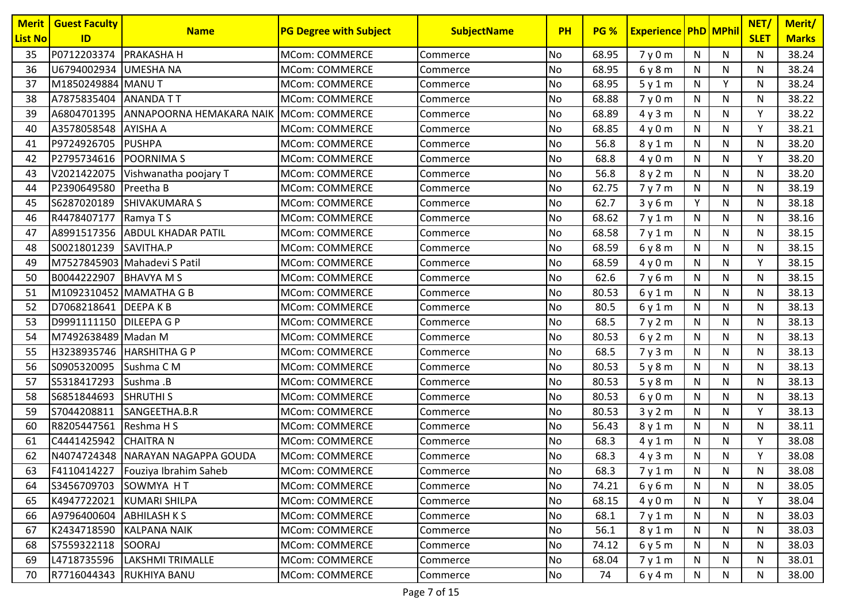| <b>Merit</b>   | <b>Guest Faculty</b>    | <b>Name</b>                          | <b>PG Degree with Subject</b> | <b>SubjectName</b> | <b>PH</b> | <b>PG %</b> | <b>Experience PhD MPhil</b> |              |              | NET/        | Merit/       |
|----------------|-------------------------|--------------------------------------|-------------------------------|--------------------|-----------|-------------|-----------------------------|--------------|--------------|-------------|--------------|
| <b>List No</b> | ID                      |                                      |                               |                    |           |             |                             |              |              | <b>SLET</b> | <b>Marks</b> |
| 35             | P0712203374 PRAKASHA H  |                                      | <b>MCom: COMMERCE</b>         | Commerce           | No        | 68.95       | 7y0m                        | N            | ${\sf N}$    | N           | 38.24        |
| 36             | U6794002934 UMESHA NA   |                                      | MCom: COMMERCE                | <b>Commerce</b>    | <b>No</b> | 68.95       | 6y8m                        | N            | N            | N           | 38.24        |
| 37             | M1850249884 MANU T      |                                      | <b>MCom: COMMERCE</b>         | Commerce           | No        | 68.95       | 5y1m                        | N            | Y            | N           | 38.24        |
| 38             | A7875835404 ANANDA TT   |                                      | MCom: COMMERCE                | Commerce           | No        | 68.88       | 7y0m                        | N            | $\mathsf{N}$ | N           | 38.22        |
| 39             |                         | A6804701395 ANNAPOORNA HEMAKARA NAIK | MCom: COMMERCE                | Commerce           | No        | 68.89       | 4y3m                        | N            | N            | Υ           | 38.22        |
| 40             | A3578058548 AYISHA A    |                                      | <b>MCom: COMMERCE</b>         | Commerce           | No        | 68.85       | 4y0m                        | $\mathsf{N}$ | $\mathsf{N}$ | Y           | 38.21        |
| 41             | P9724926705 PUSHPA      |                                      | <b>MCom: COMMERCE</b>         | Commerce           | No        | 56.8        | 8y1m                        | N            | N            | N           | 38.20        |
| 42             | P2795734616 POORNIMA S  |                                      | <b>MCom: COMMERCE</b>         | Commerce           | No        | 68.8        | 4y0m                        | $\mathsf{N}$ | $\mathsf{N}$ | Y           | 38.20        |
| 43             |                         | V2021422075 Vishwanatha poojary T    | <b>MCom: COMMERCE</b>         | Commerce           | No        | 56.8        | 8 y 2 m                     | N            | ${\sf N}$    | N           | 38.20        |
| 44             | P2390649580             | Preetha B                            | <b>MCom: COMMERCE</b>         | Commerce           | No        | 62.75       | 7y7m                        | N            | N            | N           | 38.19        |
| 45             | S6287020189             | <b>SHIVAKUMARAS</b>                  | <b>MCom: COMMERCE</b>         | Commerce           | No        | 62.7        | 3y6m                        | Y            | N            | N           | 38.18        |
| 46             | R4478407177 Ramya T S   |                                      | <b>MCom: COMMERCE</b>         | Commerce           | No        | 68.62       | 7y1m                        | N            | N            | N           | 38.16        |
| 47             |                         | A8991517356 ABDUL KHADAR PATIL       | <b>MCom: COMMERCE</b>         | Commerce           | No        | 68.58       | 7y1m                        | $\mathsf{N}$ | ${\sf N}$    | N           | 38.15        |
| 48             | S0021801239             | SAVITHA.P                            | <b>MCom: COMMERCE</b>         | Commerce           | No        | 68.59       | 6y8m                        | N            | N            | N           | 38.15        |
| 49             |                         | M7527845903 Mahadevi S Patil         | <b>MCom: COMMERCE</b>         | Commerce           | No        | 68.59       | 4y0m                        | N            | ${\sf N}$    | Y           | 38.15        |
| 50             | B0044222907 BHAVYA M S  |                                      | <b>MCom: COMMERCE</b>         | Commerce           | No        | 62.6        | 7y6m                        | N            | N            | N           | 38.15        |
| 51             |                         | M1092310452 MAMATHA G B              | <b>MCom: COMMERCE</b>         | Commerce           | No        | 80.53       | 6y1m                        | N            | N            | N           | 38.13        |
| 52             | D7068218641 DEEPA K B   |                                      | <b>MCom: COMMERCE</b>         | Commerce           | <b>No</b> | 80.5        | 6 y 1 m                     | N            | ${\sf N}$    | N           | 38.13        |
| 53             | D9991111150 DILEEPA G P |                                      | <b>MCom: COMMERCE</b>         | Commerce           | No        | 68.5        | 7y2m                        | N            | ${\sf N}$    | N           | 38.13        |
| 54             | M7492638489 Madan M     |                                      | <b>MCom: COMMERCE</b>         | Commerce           | No        | 80.53       | 6y2m                        | $\mathsf{N}$ | ${\sf N}$    | N           | 38.13        |
| 55             |                         | H3238935746   HARSHITHA G P          | <b>MCom: COMMERCE</b>         | Commerce           | No        | 68.5        | 7y3m                        | N            | $\mathsf{N}$ | N           | 38.13        |
| 56             | S0905320095             | Sushma C M                           | <b>MCom: COMMERCE</b>         | Commerce           | No        | 80.53       | 5y8m                        | N            | ${\sf N}$    | N           | 38.13        |
| 57             | S5318417293             | Sushma .B                            | <b>MCom: COMMERCE</b>         | Commerce           | No        | 80.53       | 5y8m                        | $\mathsf{N}$ | $\mathsf{N}$ | N           | 38.13        |
| 58             | S6851844693             | <b>SHRUTHI S</b>                     | <b>MCom: COMMERCE</b>         | Commerce           | No        | 80.53       | 6y0m                        | N            | N            | N           | 38.13        |
| 59             | S7044208811             | SANGEETHA.B.R                        | <b>MCom: COMMERCE</b>         | Commerce           | No        | 80.53       | 3y2m                        | $\mathsf{N}$ | $\mathsf{N}$ | Y           | 38.13        |
| 60             | R8205447561             | Reshma H S                           | <b>MCom: COMMERCE</b>         | Commerce           | No        | 56.43       | 8y1m                        | N            | N            | N           | 38.11        |
| 61             | C4441425942             | <b>CHAITRA N</b>                     | <b>MCom: COMMERCE</b>         | Commerce           | No        | 68.3        | 4y1m                        | $\mathsf{N}$ | ${\sf N}$    | Y           | 38.08        |
| 62             |                         | N4074724348 NARAYAN NAGAPPA GOUDA    | <b>MCom: COMMERCE</b>         | Commerce           | No        | 68.3        | 4y3m                        | N            | ${\sf N}$    | Y           | 38.08        |
| 63             |                         | F4110414227   Fouziya Ibrahim Saheb  | MCom: COMMERCE                | Commerce           | <b>No</b> | 68.3        | 7y1m                        | N            | N            | N           | 38.08        |
| 64             | S3456709703 SOWMYA HT   |                                      | MCom: COMMERCE                | Commerce           | <b>No</b> | 74.21       | 6y6m                        | N            | N            | N           | 38.05        |
| 65             |                         | K4947722021 KUMARI SHILPA            | <b>MCom: COMMERCE</b>         | Commerce           | No        | 68.15       | 4y0m                        | N            | N            | Y           | 38.04        |
| 66             | A9796400604 ABHILASH KS |                                      | <b>MCom: COMMERCE</b>         | Commerce           | No        | 68.1        | 7y1m                        | N            | N            | N           | 38.03        |
| 67             |                         | K2434718590 KALPANA NAIK             | MCom: COMMERCE                | Commerce           | No        | 56.1        | 8y1m                        | N            | N            | N           | 38.03        |
| 68             | S7559322118 SOORAJ      |                                      | <b>MCom: COMMERCE</b>         | Commerce           | No        | 74.12       | 6y5m                        | N            | N            | N           | 38.03        |
| 69             |                         | L4718735596  LAKSHMI TRIMALLE        | MCom: COMMERCE                | Commerce           | <b>No</b> | 68.04       | 7y1m                        | N            | N            | N           | 38.01        |
| 70             |                         | R7716044343 RUKHIYA BANU             | MCom: COMMERCE                | Commerce           | No        | 74          | 6 y 4 m                     | N            | N            | N           | 38.00        |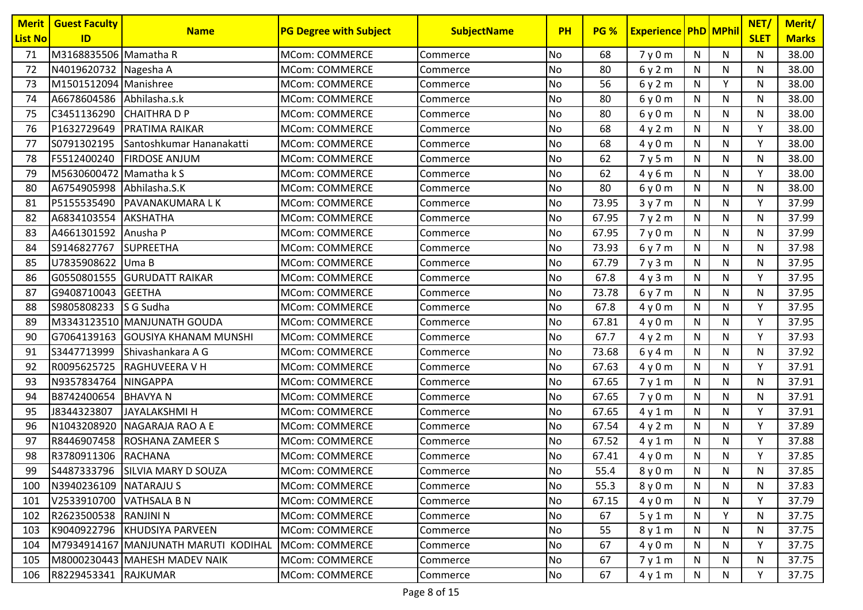| <b>Merit</b>   | <b>Guest Faculty</b>      |                                      | <b>PG Degree with Subject</b> |                    | <b>PH</b> | <b>PG %</b> | <b>Experience PhD MPhil</b> |              |              | NET/        | Merit/       |
|----------------|---------------------------|--------------------------------------|-------------------------------|--------------------|-----------|-------------|-----------------------------|--------------|--------------|-------------|--------------|
| <b>List No</b> | ID                        | <b>Name</b>                          |                               | <b>SubjectName</b> |           |             |                             |              |              | <b>SLET</b> | <b>Marks</b> |
| 71             | M3168835506 Mamatha R     |                                      | <b>MCom: COMMERCE</b>         | Commerce           | No        | 68          | 7y0m                        | $\mathsf{N}$ | ${\sf N}$    | N           | 38.00        |
| 72             | N4019620732 Nagesha A     |                                      | <b>MCom: COMMERCE</b>         | Commerce           | No        | 80          | 6y2m                        | N            | N            | N           | 38.00        |
| 73             | M1501512094 Manishree     |                                      | <b>MCom: COMMERCE</b>         | Commerce           | No        | 56          | 6y2m                        | N            | Y            | N           | 38.00        |
| 74             | A6678604586 Abhilasha.s.k |                                      | <b>MCom: COMMERCE</b>         | Commerce           | No        | 80          | 6y0m                        | $\mathsf{N}$ | $\mathsf{N}$ | N           | 38.00        |
| 75             | C3451136290               | <b>CHAITHRADP</b>                    | <b>MCom: COMMERCE</b>         | Commerce           | No        | 80          | 6y0m                        | N            | N            | N           | 38.00        |
| 76             | P1632729649               | <b>PRATIMA RAIKAR</b>                | <b>MCom: COMMERCE</b>         | Commerce           | No        | 68          | 4y2m                        | $\mathsf{N}$ | $\mathsf{N}$ | Y           | 38.00        |
| 77             | S0791302195               | Santoshkumar Hananakatti             | <b>MCom: COMMERCE</b>         | Commerce           | No        | 68          | 4y0m                        | N            | N            | Y           | 38.00        |
| 78             | F5512400240               | <b>FIRDOSE ANJUM</b>                 | <b>MCom: COMMERCE</b>         | Commerce           | No        | 62          | 7y5m                        | $\mathsf{N}$ | ${\sf N}$    | N           | 38.00        |
| 79             | M5630600472 Mamatha k S   |                                      | <b>MCom: COMMERCE</b>         | Commerce           | No        | 62          | 4y6m                        | N            | ${\sf N}$    | Y           | 38.00        |
| 80             | A6754905998               | Abhilasha.S.K                        | <b>MCom: COMMERCE</b>         | Commerce           | No        | 80          | 6y0m                        | N            | N            | N           | 38.00        |
| 81             |                           | P5155535490 PAVANAKUMARA LK          | <b>MCom: COMMERCE</b>         | Commerce           | No        | 73.95       | 3y7m                        | N            | N            | Y           | 37.99        |
| 82             | A6834103554               | AKSHATHA                             | <b>MCom: COMMERCE</b>         | Commerce           | No        | 67.95       | 7y2m                        | N            | N            | N           | 37.99        |
| 83             | A4661301592               | Anusha P                             | <b>MCom: COMMERCE</b>         | Commerce           | No        | 67.95       | 7y0m                        | ${\sf N}$    | ${\sf N}$    | N           | 37.99        |
| 84             | S9146827767               | <b>SUPREETHA</b>                     | <b>MCom: COMMERCE</b>         | Commerce           | No        | 73.93       | 6y7m                        | $\mathsf{N}$ | N            | N           | 37.98        |
| 85             | U7835908622               | Uma B                                | <b>MCom: COMMERCE</b>         | Commerce           | No        | 67.79       | 7y3m                        | N            | ${\sf N}$    | N           | 37.95        |
| 86             |                           | G0550801555 GURUDATT RAIKAR          | <b>MCom: COMMERCE</b>         | Commerce           | No        | 67.8        | 4y3m                        | N            | N            | Y           | 37.95        |
| 87             | G9408710043 GEETHA        |                                      | <b>MCom: COMMERCE</b>         | Commerce           | No        | 73.78       | 6y7m                        | N            | N            | N           | 37.95        |
| 88             | S9805808233               | S G Sudha                            | <b>MCom: COMMERCE</b>         | Commerce           | No        | 67.8        | 4y0m                        | N            | $\mathsf{N}$ | Y           | 37.95        |
| 89             |                           | M3343123510 MANJUNATH GOUDA          | <b>MCom: COMMERCE</b>         | Commerce           | No        | 67.81       | 4y0m                        | N            | N            | Y           | 37.95        |
| 90             |                           | G7064139163 GOUSIYA KHANAM MUNSHI    | <b>MCom: COMMERCE</b>         | Commerce           | No        | 67.7        | 4y2m                        | $\mathsf{N}$ | ${\sf N}$    | Y           | 37.93        |
| 91             | S3447713999               | Shivashankara A G                    | <b>MCom: COMMERCE</b>         | Commerce           | No        | 73.68       | 6y4m                        | N            | $\mathsf{N}$ | N           | 37.92        |
| 92             |                           | R0095625725 RAGHUVEERA V H           | <b>MCom: COMMERCE</b>         | Commerce           | No        | 67.63       | 4y0m                        | N            | ${\sf N}$    | Υ           | 37.91        |
| 93             | N9357834764 NINGAPPA      |                                      | <b>MCom: COMMERCE</b>         | Commerce           | No        | 67.65       | 7y1m                        | $\mathsf{N}$ | $\mathsf{N}$ | N           | 37.91        |
| 94             | B8742400654               | <b>BHAVYAN</b>                       | <b>MCom: COMMERCE</b>         | Commerce           | No        | 67.65       | 7y0m                        | N            | N            | N           | 37.91        |
| 95             | J8344323807               | <b>JAYALAKSHMI H</b>                 | <b>MCom: COMMERCE</b>         | Commerce           | No        | 67.65       | 4y1m                        | $\mathsf{N}$ | ${\sf N}$    | Y           | 37.91        |
| 96             |                           | N1043208920 NAGARAJA RAO A E         | <b>MCom: COMMERCE</b>         | Commerce           | No        | 67.54       | 4y2m                        | N            | N            | Y           | 37.89        |
| 97             | R8446907458               | <b>ROSHANA ZAMEER S</b>              | <b>MCom: COMMERCE</b>         | Commerce           | No        | 67.52       | 4y1m                        | $\mathsf{N}$ | ${\sf N}$    | Y           | 37.88        |
| 98             | R3780911306 RACHANA       |                                      | <b>MCom: COMMERCE</b>         | Commerce           | No        | 67.41       | 4y0m                        | N            | ${\sf N}$    | Y           | 37.85        |
| 99             |                           | S4487333796 SILVIA MARY D SOUZA      | <b>MCom: COMMERCE</b>         | Commerce           | <b>No</b> | 55.4        | 8 y 0 m                     | N            | N            | N           | 37.85        |
| 100            | N3940236109 NATARAJU S    |                                      | MCom: COMMERCE                | Commerce           | <b>No</b> | 55.3        | 8 y 0 m                     | N            | N            | N           | 37.83        |
| 101            | V2533910700 VATHSALA B N  |                                      | MCom: COMMERCE                | Commerce           | No        | 67.15       | 4y0m                        | N            | N            | Y           | 37.79        |
| 102            | R2623500538 RANJINI N     |                                      | <b>MCom: COMMERCE</b>         | Commerce           | No        | 67          | 5y1m                        | N            | Υ            | N           | 37.75        |
| 103            |                           | K9040922796 KHUDSIYA PARVEEN         | <b>MCom: COMMERCE</b>         | Commerce           | No        | 55          | 8y1m                        | N            | N            | N           | 37.75        |
| 104            |                           | M7934914167 MANJUNATH MARUTI KODIHAL | MCom: COMMERCE                | Commerce           | No        | 67          | 4y0m                        | N            | N            | Y           | 37.75        |
| 105            |                           | M8000230443 MAHESH MADEV NAIK        | MCom: COMMERCE                | Commerce           | <b>No</b> | 67          | 7y1m                        | N            | N            | N           | 37.75        |
| 106            | R8229453341 RAJKUMAR      |                                      | MCom: COMMERCE                | Commerce           | No        | 67          | 4y1m                        | N            | N            | Y           | 37.75        |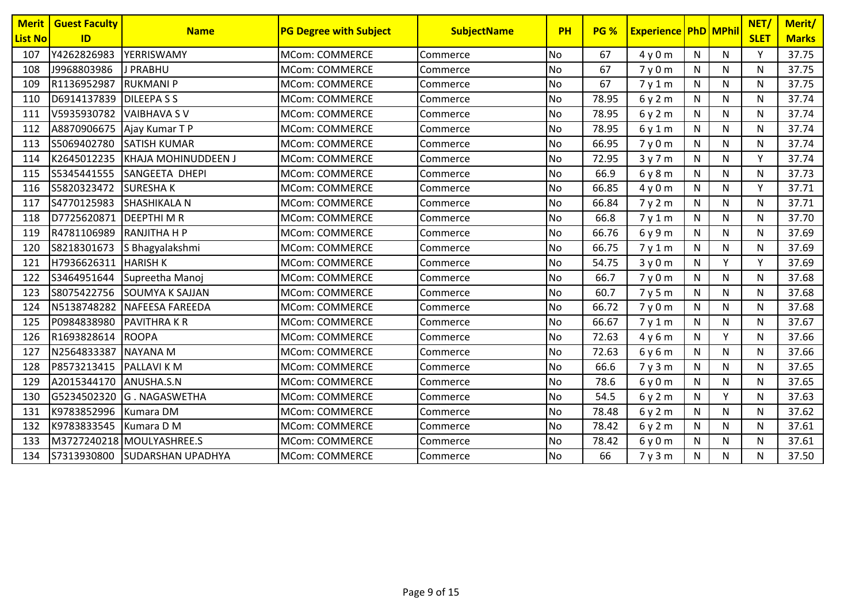| <b>Merit</b><br><b>List No</b> | <b>Guest Faculty</b><br>ID | <b>Name</b>                   | <b>PG Degree with Subject</b> | <b>SubjectName</b> | PH        | <b>PG %</b> | <b>Experience PhD MPhil</b> |              |              | NET/<br><b>SLET</b> | Merit/<br><b>Marks</b> |
|--------------------------------|----------------------------|-------------------------------|-------------------------------|--------------------|-----------|-------------|-----------------------------|--------------|--------------|---------------------|------------------------|
| 107                            | Y4262826983                | YERRISWAMY                    | <b>MCom: COMMERCE</b>         | Commerce           | <b>No</b> | 67          | 4y0m                        | N            | N            | Y                   | 37.75                  |
| 108                            | J9968803986                | J PRABHU                      | <b>MCom: COMMERCE</b>         | Commerce           | <b>No</b> | 67          | 7y0m                        | N            | N            | N                   | 37.75                  |
| 109                            | R1136952987                | <b>RUKMANIP</b>               | <b>MCom: COMMERCE</b>         | Commerce           | No        | 67          | 7y1m                        | N            | $\mathsf{N}$ | N                   | 37.75                  |
| 110                            | D6914137839                | <b>DILEEPASS</b>              | <b>MCom: COMMERCE</b>         | Commerce           | No        | 78.95       | 6y2m                        | N            | $\mathsf{N}$ | N                   | 37.74                  |
| 111                            | V5935930782                | <b>VAIBHAVA SV</b>            | <b>MCom: COMMERCE</b>         | Commerce           | No        | 78.95       | 6y2m                        | $\mathsf{N}$ | $\mathsf{N}$ | N                   | 37.74                  |
| 112                            |                            | A8870906675   Ajay Kumar T P  | <b>MCom: COMMERCE</b>         | Commerce           | No        | 78.95       | 6y1m                        | N            | N            | N                   | 37.74                  |
| 113                            | S5069402780                | <b>SATISH KUMAR</b>           | <b>MCom: COMMERCE</b>         | Commerce           | <b>No</b> | 66.95       | 7y0m                        | $\mathsf{N}$ | $\mathsf{N}$ | N                   | 37.74                  |
| 114                            | K2645012235                | <b>KHAJA MOHINUDDEEN J</b>    | <b>MCom: COMMERCE</b>         | Commerce           | No        | 72.95       | 3y7m                        | ${\sf N}$    | $\mathsf{N}$ | Y                   | 37.74                  |
| 115                            | S5345441555                | SANGEETA DHEPI                | <b>MCom: COMMERCE</b>         | Commerce           | No        | 66.9        | 6y8m                        | $\mathsf{N}$ | ${\sf N}$    | N                   | 37.73                  |
| 116                            | S5820323472                | <b>SURESHAK</b>               | <b>MCom: COMMERCE</b>         | Commerce           | No        | 66.85       | 4y0m                        | N            | $\mathsf{N}$ | Y                   | 37.71                  |
| 117                            | S4770125983                | <b>SHASHIKALA N</b>           | <b>MCom: COMMERCE</b>         | Commerce           | No        | 66.84       | 7y2m                        | $\mathsf{N}$ | $\mathsf{N}$ | N                   | 37.71                  |
| 118                            | D7725620871                | <b>DEEPTHIMR</b>              | <b>MCom: COMMERCE</b>         | Commerce           | <b>No</b> | 66.8        | 7y1m                        | N            | $\mathsf{N}$ | N                   | 37.70                  |
| 119                            | R4781106989                | <b>RANJITHA H P</b>           | <b>MCom: COMMERCE</b>         | Commerce           | No        | 66.76       | 6 y 9 m                     | $\mathsf{N}$ | ${\sf N}$    | N                   | 37.69                  |
| 120                            | S8218301673                | S Bhagyalakshmi               | <b>MCom: COMMERCE</b>         | Commerce           | <b>No</b> | 66.75       | 7y1m                        | $\mathsf{N}$ | $\mathsf{N}$ | N                   | 37.69                  |
| 121                            | H7936626311                | <b>HARISH K</b>               | <b>MCom: COMMERCE</b>         | Commerce           | No        | 54.75       | 3y0m                        | $\mathsf{N}$ | Y            | Y                   | 37.69                  |
| 122                            | S3464951644                | Supreetha Manoj               | <b>MCom: COMMERCE</b>         | Commerce           | <b>No</b> | 66.7        | 7y0m                        | N            | $\mathsf{N}$ | N                   | 37.68                  |
| 123                            | S8075422756                | <b>SOUMYA K SAJJAN</b>        | <b>MCom: COMMERCE</b>         | Commerce           | <b>No</b> | 60.7        | 7y5m                        | N            | N            | N                   | 37.68                  |
| 124                            | N5138748282                | <b>NAFEESA FAREEDA</b>        | <b>MCom: COMMERCE</b>         | Commerce           | No        | 66.72       | 7y0m                        | N            | $\mathsf{N}$ | N                   | 37.68                  |
| 125                            | P0984838980                | <b>PAVITHRAKR</b>             | <b>MCom: COMMERCE</b>         | Commerce           | No        | 66.67       | 7y1m                        | N            | $\mathsf{N}$ | N                   | 37.67                  |
| 126                            | R1693828614                | <b>ROOPA</b>                  | <b>MCom: COMMERCE</b>         | Commerce           | <b>No</b> | 72.63       | 4y6m                        | N            | Y            | N                   | 37.66                  |
| 127                            | N2564833387                | <b>NAYANA M</b>               | <b>MCom: COMMERCE</b>         | Commerce           | No        | 72.63       | 6y6m                        | N            | $\mathsf{N}$ | N                   | 37.66                  |
| 128                            | P8573213415                | <b>PALLAVI KM</b>             | <b>MCom: COMMERCE</b>         | Commerce           | <b>No</b> | 66.6        | 7y3m                        | $\mathsf{N}$ | $\mathsf{N}$ | N                   | 37.65                  |
| 129                            | A2015344170                | ANUSHA.S.N                    | <b>MCom: COMMERCE</b>         | Commerce           | No        | 78.6        | 6y0m                        | N            | $\mathsf{N}$ | N                   | 37.65                  |
| 130                            | G5234502320                | G. NAGASWETHA                 | <b>MCom: COMMERCE</b>         | Commerce           | No        | 54.5        | 6y2m                        | $\mathsf{N}$ | Y            | N                   | 37.63                  |
| 131                            | K9783852996                | Kumara DM                     | <b>MCom: COMMERCE</b>         | Commerce           | No        | 78.48       | 6y2m                        | $\mathsf{N}$ | $\mathsf{N}$ | N                   | 37.62                  |
| 132                            | K9783833545                | Kumara D M                    | <b>MCom: COMMERCE</b>         | Commerce           | No        | 78.42       | 6y2m                        | $\mathsf{N}$ | $\mathsf{N}$ | N                   | 37.61                  |
| 133                            |                            | M3727240218 MOULYASHREE.S     | <b>MCom: COMMERCE</b>         | Commerce           | No        | 78.42       | 6y0m                        | N            | $\mathsf{N}$ | N                   | 37.61                  |
| 134                            |                            | S7313930800 SUDARSHAN UPADHYA | <b>MCom: COMMERCE</b>         | Commerce           | No        | 66          | 7y3m                        | ${\sf N}$    | ${\sf N}$    | N                   | 37.50                  |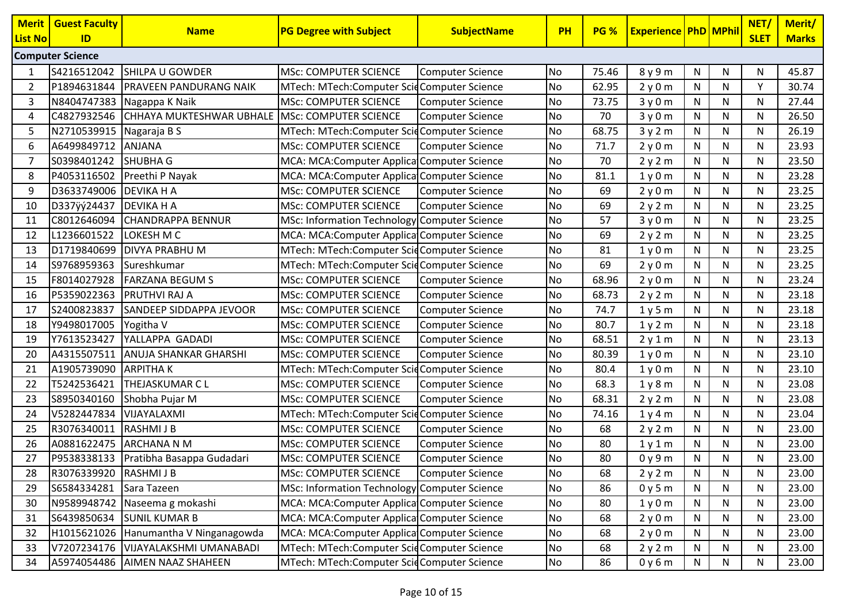| <b>Merit</b><br>List No | <b>Guest Faculty</b><br>ID | <b>Name</b>                                    | <b>PG Degree with Subject</b>                | <b>SubjectName</b>      | PH        | <b>PG %</b> | <b>Experience PhD MPhil</b> |              |              | NET/<br><b>SLET</b> | Merit/<br><b>Marks</b> |
|-------------------------|----------------------------|------------------------------------------------|----------------------------------------------|-------------------------|-----------|-------------|-----------------------------|--------------|--------------|---------------------|------------------------|
|                         | <b>Computer Science</b>    |                                                |                                              |                         |           |             |                             |              |              |                     |                        |
|                         | S4216512042                | <b>SHILPA U GOWDER</b>                         | <b>MSc: COMPUTER SCIENCE</b>                 | Computer Science        | <b>No</b> | 75.46       | 8 y 9 m                     | N            | N            | N                   | 45.87                  |
| 2                       | P1894631844                | <b>PRAVEEN PANDURANG NAIK</b>                  | MTech: MTech:Computer ScidComputer Science   |                         | No        | 62.95       | 2y0m                        | $\mathsf{N}$ | ${\sf N}$    | Y                   | 30.74                  |
| 3                       | N8404747383                | Nagappa K Naik                                 | MSc: COMPUTER SCIENCE                        | <b>Computer Science</b> | <b>No</b> | 73.75       | 3y0m                        | ${\sf N}$    | ${\sf N}$    | N                   | 27.44                  |
| 4                       | C4827932546                | CHHAYA MUKTESHWAR UBHALE MSc: COMPUTER SCIENCE |                                              | Computer Science        | <b>No</b> | 70          | 3y0m                        | N            | N            | N                   | 26.50                  |
| 5                       | N2710539915   Nagaraja B S |                                                | MTech: MTech:Computer ScidComputer Science   |                         | <b>No</b> | 68.75       | 3y2m                        | N            | ${\sf N}$    | N                   | 26.19                  |
| 6                       | A6499849712                | <b>ANJANA</b>                                  | <b>MSc: COMPUTER SCIENCE</b>                 | Computer Science        | <b>No</b> | 71.7        | 2y0m                        | N            | N            | N                   | 23.93                  |
|                         | S0398401242                | <b>SHUBHA G</b>                                | MCA: MCA:Computer Applica Computer Science   |                         | No        | 70          | 2y2m                        | N            | ${\sf N}$    | N                   | 23.50                  |
| 8                       | P4053116502                | Preethi P Nayak                                | MCA: MCA:Computer Applica Computer Science   |                         | <b>No</b> | 81.1        | 1y0m                        | ${\sf N}$    | ${\sf N}$    | N                   | 23.28                  |
| 9                       | D3633749006                | <b>DEVIKA H A</b>                              | MSc: COMPUTER SCIENCE                        | Computer Science        | No        | 69          | 2y0m                        | $\mathsf{N}$ | $\mathsf{N}$ | N                   | 23.25                  |
| 10                      | D337ÿý24437                | <b>DEVIKA H A</b>                              | MSc: COMPUTER SCIENCE                        | Computer Science        | No        | 69          | 2y2m                        | $\mathsf{N}$ | $\mathsf{N}$ | N                   | 23.25                  |
| 11                      | C8012646094                | <b>CHANDRAPPA BENNUR</b>                       | MSc: Information Technology Computer Science |                         | <b>No</b> | 57          | 3y0m                        | N            | ${\sf N}$    | N                   | 23.25                  |
| 12                      | L1236601522                | LOKESH M C                                     | MCA: MCA:Computer Applica Computer Science   |                         | No        | 69          | 2y2m                        | N            | N            | N                   | 23.25                  |
| 13                      | D1719840699                | <b>DIVYA PRABHU M</b>                          | MTech: MTech:Computer ScidComputer Science   |                         | <b>No</b> | 81          | 1y0m                        | $\mathsf{N}$ | N            | N                   | 23.25                  |
| 14                      | S9768959363                | Sureshkumar                                    | MTech: MTech:Computer ScidComputer Science   |                         | No        | 69          | 2y0m                        | N            | N            | N                   | 23.25                  |
| 15                      | F8014027928                | <b>FARZANA BEGUM S</b>                         | MSc: COMPUTER SCIENCE                        | Computer Science        | <b>No</b> | 68.96       | 2y0m                        | ${\sf N}$    | ${\sf N}$    | N                   | 23.24                  |
| 16                      | P5359022363                | PRUTHVI RAJ A                                  | MSc: COMPUTER SCIENCE                        | Computer Science        | <b>No</b> | 68.73       | 2y2m                        | $\mathsf{N}$ | ${\sf N}$    | N                   | 23.18                  |
| 17                      | S2400823837                | <b>SANDEEP SIDDAPPA JEVOOR</b>                 | MSc: COMPUTER SCIENCE                        | Computer Science        | <b>No</b> | 74.7        | 1y5m                        | $\mathsf{N}$ | $\mathsf{N}$ | N                   | 23.18                  |
| 18                      | Y9498017005                | Yogitha V                                      | <b>MSc: COMPUTER SCIENCE</b>                 | Computer Science        | <b>No</b> | 80.7        | 1y2m                        | $\mathsf{N}$ | $\mathsf{N}$ | N                   | 23.18                  |
| 19                      | Y7613523427                | YALLAPPA GADADI                                | MSc: COMPUTER SCIENCE                        | <b>Computer Science</b> | No        | 68.51       | 2y1m                        | N            | N            | N                   | 23.13                  |
| 20                      | A4315507511                | <b>ANUJA SHANKAR GHARSHI</b>                   | <b>MSc: COMPUTER SCIENCE</b>                 | Computer Science        | <b>No</b> | 80.39       | 1y0m                        | N            | ${\sf N}$    | N                   | 23.10                  |
| 21                      | A1905739090                | <b>ARPITHAK</b>                                | MTech: MTech:Computer ScidComputer Science   |                         | No        | 80.4        | 1y0m                        | N            | ${\sf N}$    | N                   | 23.10                  |
| 22                      | T5242536421                | THEJASKUMAR C L                                | MSc: COMPUTER SCIENCE                        | <b>Computer Science</b> | No        | 68.3        | 1y8m                        | $\mathsf{N}$ | ${\sf N}$    | N                   | 23.08                  |
| 23                      | S8950340160                | Shobha Pujar M                                 | MSc: COMPUTER SCIENCE                        | Computer Science        | <b>No</b> | 68.31       | 2y2m                        | N            | ${\sf N}$    | N                   | 23.08                  |
| 24                      | V5282447834                | VIJAYALAXMI                                    | MTech: MTech:Computer ScidComputer Science   |                         | No        | 74.16       | 1y4m                        | N            | N            | N                   | 23.04                  |
| 25                      | R3076340011                | <b>RASHMIJB</b>                                | MSc: COMPUTER SCIENCE                        | Computer Science        | <b>No</b> | 68          | 2y2m                        | $\mathsf{N}$ | N            | N                   | 23.00                  |
| 26                      |                            | A0881622475 ARCHANA N M                        | MSc: COMPUTER SCIENCE                        | Computer Science        | No        | 80          | 1y1m                        | N            | N            | N                   | 23.00                  |
| 27                      |                            | P9538338133   Pratibha Basappa Gudadari        | <b>MSc: COMPUTER SCIENCE</b>                 | Computer Science        | <b>No</b> | 80          | 0y9m                        | ${\sf N}$    | ${\sf N}$    | N                   | 23.00                  |
| 28                      | R3076339920 RASHMIJB       |                                                | MSc: COMPUTER SCIENCE                        | Computer Science        | <b>No</b> | 68          | 2y2m                        | ${\sf N}$    | $\mathsf{N}$ | N                   | 23.00                  |
| 29                      | S6584334281                | Sara Tazeen                                    | MSc: Information Technology Computer Science |                         | <b>No</b> | 86          | 0y5m                        | N            | N            | N                   | 23.00                  |
| 30                      |                            | N9589948742 Naseema g mokashi                  | MCA: MCA:Computer Applica Computer Science   |                         | <b>No</b> | 80          | 1y0m                        | N            | $\mathsf{N}$ | N                   | 23.00                  |
| 31                      | S6439850634                | <b>SUNIL KUMAR B</b>                           | MCA: MCA:Computer Applica Computer Science   |                         | No        | 68          | 2y0m                        | N            | N            | N                   | 23.00                  |
| 32                      |                            | H1015621026 Hanumantha V Ninganagowda          | MCA: MCA:Computer Applica Computer Science   |                         | <b>No</b> | 68          | 2y0m                        | N            | ${\sf N}$    | N                   | 23.00                  |
| 33                      | V7207234176                | VIJAYALAKSHMI UMANABADI                        | MTech: MTech:Computer ScidComputer Science   |                         | No        | 68          | 2y2m                        | N            | N            | N                   | 23.00                  |
| 34                      | A5974054486                | <b>AIMEN NAAZ SHAHEEN</b>                      | MTech: MTech:Computer ScidComputer Science   |                         | No        | 86          | 0y6m                        | N            | N            | N                   | 23.00                  |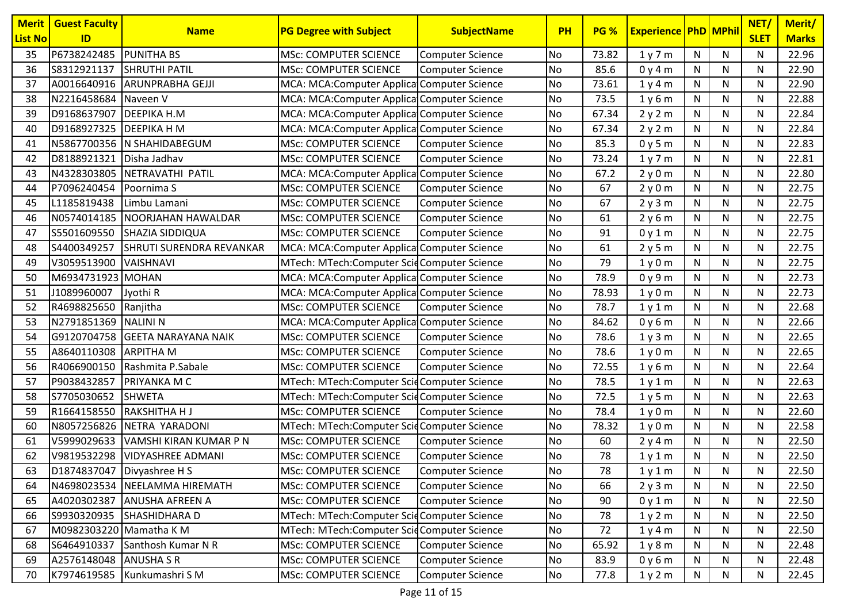| <b>Merit</b><br><b>List No</b> | <b>Guest Faculty</b><br>ID | <b>Name</b>                     | <b>PG Degree with Subject</b>               | <b>SubjectName</b>      | <b>PH</b> | <b>PG %</b> | <b>Experience PhD MPhil</b> |              |              | NET/<br><b>SLET</b> | Merit/<br><b>Marks</b> |
|--------------------------------|----------------------------|---------------------------------|---------------------------------------------|-------------------------|-----------|-------------|-----------------------------|--------------|--------------|---------------------|------------------------|
| 35                             | P6738242485                | <b>PUNITHA BS</b>               | <b>MSc: COMPUTER SCIENCE</b>                | <b>Computer Science</b> | No        | 73.82       | 1y7m                        | $\mathsf{N}$ | N            | N                   | 22.96                  |
| 36                             | S8312921137                | <b>SHRUTHI PATIL</b>            | <b>MSc: COMPUTER SCIENCE</b>                | <b>Computer Science</b> | No        | 85.6        | 0y4m                        | N            | N            | N                   | 22.90                  |
| 37                             |                            | A0016640916 ARUNPRABHA GEJJI    | MCA: MCA: Computer Applica Computer Science |                         | No        | 73.61       | 1y4m                        | N            | $\mathsf{N}$ | N                   | 22.90                  |
| 38                             | N2216458684                | Naveen V                        | MCA: MCA: Computer Applica Computer Science |                         | No        | 73.5        | 1y6m                        | N            | ${\sf N}$    | N                   | 22.88                  |
| 39                             | D9168637907                | <b>DEEPIKA H.M</b>              | MCA: MCA:Computer Applica Computer Science  |                         | No        | 67.34       | 2y2m                        | N            | N            | N                   | 22.84                  |
| 40                             | D9168927325 DEEPIKA H M    |                                 | MCA: MCA:Computer Applica Computer Science  |                         | <b>No</b> | 67.34       | 2y2m                        | N            | N            | N                   | 22.84                  |
| 41                             |                            | N5867700356 N SHAHIDABEGUM      | <b>MSc: COMPUTER SCIENCE</b>                | <b>Computer Science</b> | No        | 85.3        | 0y5m                        | N            | N            | N                   | 22.83                  |
| 42                             | D8188921321                | Disha Jadhav                    | <b>MSc: COMPUTER SCIENCE</b>                | <b>Computer Science</b> | <b>No</b> | 73.24       | 1y7m                        | ${\sf N}$    | ${\sf N}$    | N                   | 22.81                  |
| 43                             | N4328303805                | NETRAVATHI PATIL                | MCA: MCA: Computer Applica Computer Science |                         | No        | 67.2        | 2y0m                        | N            | N            | N                   | 22.80                  |
| 44                             | P7096240454                | Poornima S                      | <b>MSc: COMPUTER SCIENCE</b>                | <b>Computer Science</b> | No        | 67          | 2y0m                        | N            | N            | N                   | 22.75                  |
| 45                             | L1185819438                | Limbu Lamani                    | <b>MSc: COMPUTER SCIENCE</b>                | <b>Computer Science</b> | No        | 67          | 2y3m                        | N            | N            | N                   | 22.75                  |
| 46                             | N0574014185                | NOORJAHAN HAWALDAR              | <b>MSc: COMPUTER SCIENCE</b>                | <b>Computer Science</b> | No        | 61          | 2y6m                        | N            | N            | N                   | 22.75                  |
| 47                             | S5501609550                | SHAZIA SIDDIQUA                 | <b>MSc: COMPUTER SCIENCE</b>                | <b>Computer Science</b> | No        | 91          | 0y1m                        | N            | ${\sf N}$    | N                   | 22.75                  |
| 48                             | S4400349257                | <b>SHRUTI SURENDRA REVANKAR</b> | MCA: MCA: Computer Applica Computer Science |                         | No        | 61          | 2y5m                        | N            | N            | N                   | 22.75                  |
| 49                             | V3059513900                | <b>VAISHNAVI</b>                | MTech: MTech:Computer ScidComputer Science  |                         | No        | 79          | 1y0m                        | $\mathsf{N}$ | ${\sf N}$    | N                   | 22.75                  |
| 50                             | M6934731923 MOHAN          |                                 | MCA: MCA: Computer Applica Computer Science |                         | <b>No</b> | 78.9        | 0y9m                        | N            | $\mathsf{N}$ | N                   | 22.73                  |
| 51                             | J1089960007                | Jyothi R                        | MCA: MCA: Computer Applica Computer Science |                         | No        | 78.93       | 1y0m                        | N            | N            | N                   | 22.73                  |
| 52                             | R4698825650                | Ranjitha                        | <b>MSc: COMPUTER SCIENCE</b>                | Computer Science        | No        | 78.7        | 1y1m                        | N            | N            | N                   | 22.68                  |
| 53                             | N2791851369                | <b>NALINI N</b>                 | MCA: MCA: Computer Applica Computer Science |                         | No        | 84.62       | 0y6m                        | N            | N            | N                   | 22.66                  |
| 54                             |                            | G9120704758 GEETA NARAYANA NAIK | <b>MSc: COMPUTER SCIENCE</b>                | <b>Computer Science</b> | No        | 78.6        | 1y3m                        | $\mathsf{N}$ | ${\sf N}$    | N                   | 22.65                  |
| 55                             | A8640110308 ARPITHA M      |                                 | <b>MSc: COMPUTER SCIENCE</b>                | <b>Computer Science</b> | No        | 78.6        | 1y0m                        | N            | N            | N                   | 22.65                  |
| 56                             | R4066900150                | Rashmita P.Sabale               | <b>MSc: COMPUTER SCIENCE</b>                | <b>Computer Science</b> | No        | 72.55       | 1y6m                        | N            | ${\sf N}$    | N                   | 22.64                  |
| 57                             | P9038432857                | PRIYANKA M C                    | MTech: MTech:Computer ScidComputer Science  |                         | No        | 78.5        | 1y1m                        | N            | ${\sf N}$    | N                   | 22.63                  |
| 58                             | S7705030652                | <b>SHWETA</b>                   | MTech: MTech: Computer ScidComputer Science |                         | No        | 72.5        | 1y5m                        | N            | N            | N                   | 22.63                  |
| 59                             | R1664158550                | RAKSHITHA H J                   | <b>MSc: COMPUTER SCIENCE</b>                | <b>Computer Science</b> | No        | 78.4        | 1y0m                        | N            | N            | N                   | 22.60                  |
| 60                             |                            | N8057256826 NETRA YARADONI      | MTech: MTech: Computer ScidComputer Science |                         | No        | 78.32       | 1y0m                        | N            | N            | N                   | 22.58                  |
| 61                             | V5999029633                | VAMSHI KIRAN KUMAR P N          | <b>MSc: COMPUTER SCIENCE</b>                | <b>Computer Science</b> | <b>No</b> | 60          | 2y4m                        | ${\sf N}$    | ${\sf N}$    | N                   | 22.50                  |
| 62                             | V9819532298                | <b>VIDYASHREE ADMANI</b>        | <b>MSc: COMPUTER SCIENCE</b>                | <b>Computer Science</b> | <b>No</b> | 78          | 1y1m                        | N            | ${\sf N}$    | N                   | 22.50                  |
| 63                             |                            | D1874837047 Divyashree H S      | <b>MSc: COMPUTER SCIENCE</b>                | Computer Science        | No        | 78          | 1y1m                        | ${\sf N}$    | N            | N                   | 22.50                  |
| 64                             |                            | N4698023534 NEELAMMA HIREMATH   | <b>MSc: COMPUTER SCIENCE</b>                | Computer Science        | No        | 66          | 2y3m                        | $\mathsf{N}$ | ${\sf N}$    | N                   | 22.50                  |
| 65                             |                            | A4020302387 ANUSHA AFREEN A     | MSc: COMPUTER SCIENCE                       | <b>Computer Science</b> | No        | 90          | 0y1m                        | N            | N            | N                   | 22.50                  |
| 66                             |                            | S9930320935 SHASHIDHARA D       | MTech: MTech:Computer ScidComputer Science  |                         | No        | 78          | 1y2m                        | N            | ${\sf N}$    | N                   | 22.50                  |
| 67                             | M0982303220 Mamatha K M    |                                 | MTech: MTech:Computer ScidComputer Science  |                         | No        | 72          | 1y4m                        | N            | N            | N                   | 22.50                  |
| 68                             |                            | S6464910337 Santhosh Kumar N R  | MSc: COMPUTER SCIENCE                       | <b>Computer Science</b> | No        | 65.92       | 1y8m                        | $\mathsf{N}$ | N            | N                   | 22.48                  |
| 69                             | A2576148048 ANUSHA S R     |                                 | MSc: COMPUTER SCIENCE                       | <b>Computer Science</b> | No        | 83.9        | 0y6m                        | N            | N            | N                   | 22.48                  |
| 70                             | K7974619585                | Kunkumashri SM                  | <b>MSc: COMPUTER SCIENCE</b>                | <b>Computer Science</b> | No        | 77.8        | 1y2m                        | N            | N            | N                   | 22.45                  |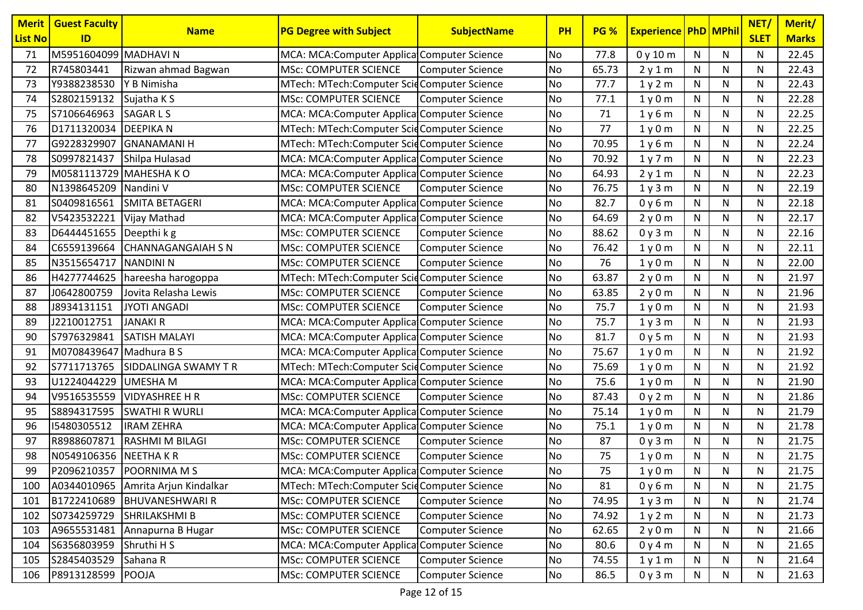| <b>List No</b><br>ID<br>M5951604099 MADHAVI N<br>71<br><b>No</b><br>77.8<br>$\mathsf{N}$<br>MCA: MCA: Computer Applica Computer Science<br>0y10m<br>N<br>R745803441<br><b>MSc: COMPUTER SCIENCE</b><br>65.73<br>N<br>N<br>72<br>Rizwan ahmad Bagwan<br>Computer Science<br>No<br>2y1m<br>Y9388238530<br>Y B Nimisha<br>MTech: MTech:Computer ScidComputer Science<br>No<br>77.7<br>1y2m<br>N<br>$\mathsf{N}$<br>73 | <b>SLET</b><br><b>Marks</b><br>N<br>22.45<br>N<br>22.43<br>N<br>22.43<br>N<br>22.28<br>22.25<br>N<br>22.25<br>N<br>N<br>22.24 |
|--------------------------------------------------------------------------------------------------------------------------------------------------------------------------------------------------------------------------------------------------------------------------------------------------------------------------------------------------------------------------------------------------------------------|-------------------------------------------------------------------------------------------------------------------------------|
|                                                                                                                                                                                                                                                                                                                                                                                                                    |                                                                                                                               |
|                                                                                                                                                                                                                                                                                                                                                                                                                    |                                                                                                                               |
|                                                                                                                                                                                                                                                                                                                                                                                                                    |                                                                                                                               |
|                                                                                                                                                                                                                                                                                                                                                                                                                    |                                                                                                                               |
| ${\sf N}$<br>74<br>S2802159132<br><b>MSc: COMPUTER SCIENCE</b><br>No<br>77.1<br>N<br>Sujatha K S<br>Computer Science<br>1y0m                                                                                                                                                                                                                                                                                       |                                                                                                                               |
| 75<br>S7106646963<br>N<br><b>SAGARLS</b><br>MCA: MCA: Computer Applica Computer Science<br>No<br>71<br>1y6m<br>N                                                                                                                                                                                                                                                                                                   |                                                                                                                               |
| 76<br>D1711320034 DEEPIKA N<br>77<br>MTech: MTech:Computer ScidComputer Science<br><b>No</b><br>N<br>N<br>1y0m                                                                                                                                                                                                                                                                                                     |                                                                                                                               |
| 77<br>G9228329907<br><b>GNANAMANIH</b><br>MTech: MTech:Computer ScidComputer Science<br>70.95<br>N<br>N<br><b>No</b><br>1y6m                                                                                                                                                                                                                                                                                       |                                                                                                                               |
| S0997821437<br>Shilpa Hulasad<br>MCA: MCA: Computer Applica Computer Science<br><b>No</b><br>1y7m<br>${\sf N}$<br>${\sf N}$<br>78<br>70.92                                                                                                                                                                                                                                                                         | N<br>22.23                                                                                                                    |
| M0581113729 MAHESHA KO<br>MCA: MCA:Computer Applica Computer Science<br>No<br>N<br>${\sf N}$<br>79<br>64.93<br>2y1m                                                                                                                                                                                                                                                                                                | N<br>22.23                                                                                                                    |
| N1398645209<br>Nandini V<br><b>MSc: COMPUTER SCIENCE</b><br><b>No</b><br>N<br>${\sf N}$<br>80<br>Computer Science<br>76.75<br>1y3m                                                                                                                                                                                                                                                                                 | 22.19<br>N                                                                                                                    |
| S0409816561<br><b>SMITA BETAGERI</b><br>82.7<br>N<br>N<br>81<br>MCA: MCA: Computer Applica Computer Science<br><b>No</b><br>0y6m                                                                                                                                                                                                                                                                                   | N<br>22.18                                                                                                                    |
| 82<br>V5423532221<br>N<br>N<br>Vijay Mathad<br>MCA: MCA: Computer Applica Computer Science<br>No<br>64.69<br>2y0m                                                                                                                                                                                                                                                                                                  | 22.17<br>N                                                                                                                    |
| $\mathsf{N}$<br>$\mathsf{N}$<br>D6444451655 Deepthi k g<br>MSc: COMPUTER SCIENCE<br><b>No</b><br>0y3m<br>83<br>88.62<br>Computer Science                                                                                                                                                                                                                                                                           | N<br>22.16                                                                                                                    |
| C6559139664<br><b>CHANNAGANGAIAH S N</b><br>No<br>76.42<br>N<br>N<br>84<br><b>MSc: COMPUTER SCIENCE</b><br><b>Computer Science</b><br>1y0m                                                                                                                                                                                                                                                                         | N<br>22.11                                                                                                                    |
| N3515654717<br>NANDINI N<br><b>MSc: COMPUTER SCIENCE</b><br>85<br>No<br>76<br>1y0m<br>N<br>${\sf N}$<br><b>Computer Science</b>                                                                                                                                                                                                                                                                                    | N<br>22.00                                                                                                                    |
| $\mathsf{N}$<br>86<br>H4277744625 hareesha harogoppa<br><b>No</b><br>63.87<br>2y0m<br>N<br>MTech: MTech: Computer ScidComputer Science                                                                                                                                                                                                                                                                             | N<br>21.97                                                                                                                    |
| J0642800759<br>Jovita Relasha Lewis<br>MSc: COMPUTER SCIENCE<br>N<br>N<br>87<br><b>Computer Science</b><br>No<br>63.85<br>2y0m                                                                                                                                                                                                                                                                                     | N<br>21.96                                                                                                                    |
| J8934131151<br>N<br>$\mathsf{N}$<br>88<br><b>JYOTI ANGADI</b><br><b>MSc: COMPUTER SCIENCE</b><br><b>No</b><br>75.7<br>Computer Science<br>1y0m                                                                                                                                                                                                                                                                     | 21.93<br>N                                                                                                                    |
| J2210012751<br>No<br>N<br>89<br><b>JANAKI R</b><br>MCA: MCA: Computer Applica Computer Science<br>75.7<br>N<br>1y3m                                                                                                                                                                                                                                                                                                | N<br>21.93                                                                                                                    |
| S7976329841<br><b>SATISH MALAYI</b><br><b>No</b><br>81.7<br>$\mathsf{N}$<br>${\sf N}$<br>90<br>MCA: MCA: Computer Applica Computer Science<br>0y5m                                                                                                                                                                                                                                                                 | N<br>21.93                                                                                                                    |
| M0708439647 Madhura B S<br>91<br>MCA: MCA: Computer Applica Computer Science<br>No<br>75.67<br>1y0m<br>N<br>N                                                                                                                                                                                                                                                                                                      | N<br>21.92                                                                                                                    |
| S7711713765<br>92<br>SIDDALINGA SWAMY TR<br>MTech: MTech:Computer ScidComputer Science<br>No<br>1y0m<br>N<br>${\sf N}$<br>75.69                                                                                                                                                                                                                                                                                    | N<br>21.92                                                                                                                    |
| ${\sf N}$<br>U1224044229<br><b>UMESHAM</b><br>MCA: MCA:Computer Applica Computer Science<br><b>No</b><br>75.6<br>N<br>93<br>1y0m                                                                                                                                                                                                                                                                                   | N<br>21.90                                                                                                                    |
| 94<br>V9516535559  VIDYASHREE H R<br><b>MSc: COMPUTER SCIENCE</b><br>No<br>N<br>Computer Science<br>87.43<br>0y2m<br>N                                                                                                                                                                                                                                                                                             | 21.86<br>N                                                                                                                    |
| S8894317595<br>75.14<br>95<br><b>SWATHI R WURLI</b><br>MCA: MCA: Computer Applica Computer Science<br><b>No</b><br>N<br>N<br>1y0m                                                                                                                                                                                                                                                                                  | 21.79<br>N                                                                                                                    |
| 96<br>15480305512<br><b>IRAM ZEHRA</b><br>MCA: MCA: Computer Applica Computer Science<br><b>No</b><br>75.1<br>N<br>N<br>1y0m                                                                                                                                                                                                                                                                                       | N<br>21.78                                                                                                                    |
| R8988607871<br>RASHMI M BILAGI<br><b>MSc: COMPUTER SCIENCE</b><br><b>No</b><br>87<br>0y3m<br>${\sf N}$<br>${\sf N}$<br>97<br>Computer Science                                                                                                                                                                                                                                                                      | N<br>21.75                                                                                                                    |
| N0549106356 NEETHA KR<br>98<br><b>MSc: COMPUTER SCIENCE</b><br>No<br>75<br>$\mathsf{N}$<br>${\sf N}$<br>Computer Science<br>1y0m                                                                                                                                                                                                                                                                                   | N<br>21.75                                                                                                                    |
| P2096210357 POORNIMA M S<br>99<br>MCA: MCA:Computer Applica Computer Science<br>No<br>75<br>1y0m<br>$\mathsf{N}$<br>N                                                                                                                                                                                                                                                                                              | 21.75<br>N                                                                                                                    |
| A0344010965 Amrita Arjun Kindalkar<br>$\mathsf{N}$<br>${\sf N}$<br>MTech: MTech:Computer ScidComputer Science<br><b>No</b><br>81<br>0y6m<br>100                                                                                                                                                                                                                                                                    | N<br>21.75                                                                                                                    |
| B1722410689   BHUVANESHWARI R<br>MSc: COMPUTER SCIENCE<br><b>Computer Science</b><br>No<br>74.95<br>101<br>1y3m<br>N<br>N                                                                                                                                                                                                                                                                                          | 21.74<br>N                                                                                                                    |
| S0734259729 SHRILAKSHMI B<br><b>MSc: COMPUTER SCIENCE</b><br>102<br>Computer Science<br><b>No</b><br>74.92<br>1y2m<br>$\mathsf{N}$<br>${\sf N}$                                                                                                                                                                                                                                                                    | N<br>21.73                                                                                                                    |
| A9655531481 Annapurna B Hugar<br><b>MSc: COMPUTER SCIENCE</b><br><b>Computer Science</b><br>No<br>62.65<br>2y0m<br>N<br>N<br>103                                                                                                                                                                                                                                                                                   | 21.66<br>N                                                                                                                    |
| S6356803959 Shruthi H S<br>MCA: MCA:Computer Applica Computer Science<br>No<br>80.6<br>0y4m<br>$\mathsf{N}$<br>104<br>N                                                                                                                                                                                                                                                                                            | N<br>21.65                                                                                                                    |
| S2845403529<br>Sahana R<br><b>MSc: COMPUTER SCIENCE</b><br>74.55<br>Computer Science<br>No<br>1y1m<br>N<br>N<br>105                                                                                                                                                                                                                                                                                                | N<br>21.64                                                                                                                    |
| P8913128599 POOJA<br><b>MSc: COMPUTER SCIENCE</b><br><b>Computer Science</b><br>No<br>86.5<br>0y3m<br>N<br>106<br>N                                                                                                                                                                                                                                                                                                | N<br>21.63                                                                                                                    |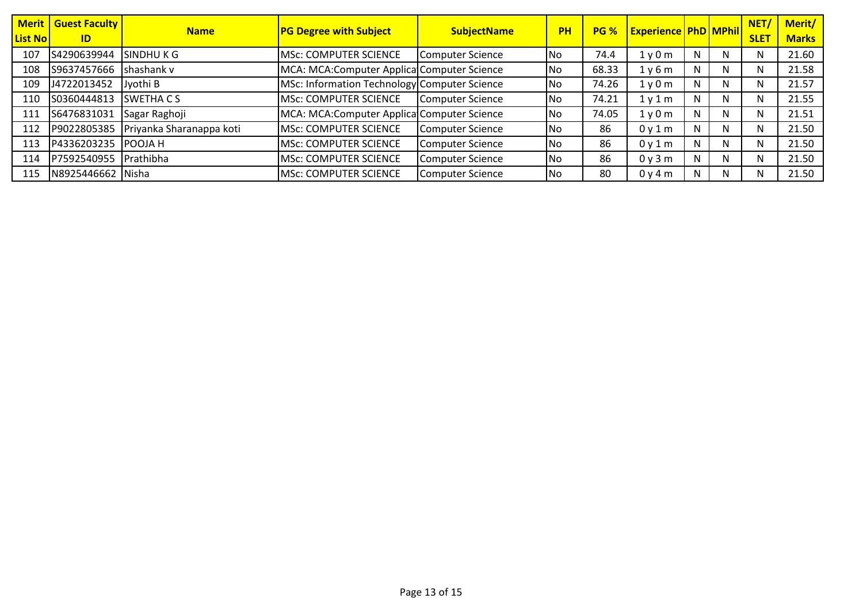| <b>List No</b> | <b>Merit   Guest Faculty  </b><br>ID | <b>Name</b>                          | <b>PG Degree with Subject</b>                | <b>SubjectName</b> | <b>PH</b> | <b>PG %</b> | <b>Experience PhD MPhil</b> |   |    | NET/<br><b>SLET</b> | Merit/<br><b>Marks</b> |
|----------------|--------------------------------------|--------------------------------------|----------------------------------------------|--------------------|-----------|-------------|-----------------------------|---|----|---------------------|------------------------|
| 107            | S4290639944                          | SINDHU K G                           | MSc: COMPUTER SCIENCE                        | Computer Science   | lNo.      | 74.4        | 1y0m                        | N | N  | N                   | 21.60                  |
| 108            | S9637457666                          | shashank v                           | MCA: MCA: Computer Applica Computer Science  |                    | lNo.      | 68.33       | 1y6m                        | N | N. | N                   | 21.58                  |
| 109            | J4722013452                          | Jyothi B                             | MSc: Information Technology Computer Science |                    | lNo.      | 74.26       | 1y0m                        | N | N  | N                   | 21.57                  |
| 110            | S0360444813                          | <b>SWETHACS</b>                      | <b>MSc: COMPUTER SCIENCE</b>                 | Computer Science   | lNo.      | 74.21       | 1y1m                        | N | N  | N                   | 21.55                  |
| 111            | S6476831031                          | Sagar Raghoji                        | MCA: MCA: Computer Applica Computer Science  |                    | lNo.      | 74.05       | 1y0m                        | N | N. | N                   | 21.51                  |
| 112            |                                      | P9022805385 Priyanka Sharanappa koti | <b>MSc: COMPUTER SCIENCE</b>                 | Computer Science   | lNo.      | 86          | 0y1m                        | Ν | N. | N                   | 21.50                  |
| 113            | P4336203235 POOJA H                  |                                      | MSc: COMPUTER SCIENCE                        | Computer Science   | lNo.      | 86          | 0y1m                        | N | N. | N                   | 21.50                  |
| 114            | P7592540955                          | <b>Prathibha</b>                     | <b>MSc: COMPUTER SCIENCE</b>                 | Computer Science   | l No      | 86          | 0y3m                        | N | N. | N                   | 21.50                  |
| 115            | N8925446662 Nisha                    |                                      | MSc: COMPUTER SCIENCE                        | Computer Science   | No        | 80          | 0y4m                        | N | N. | N                   | 21.50                  |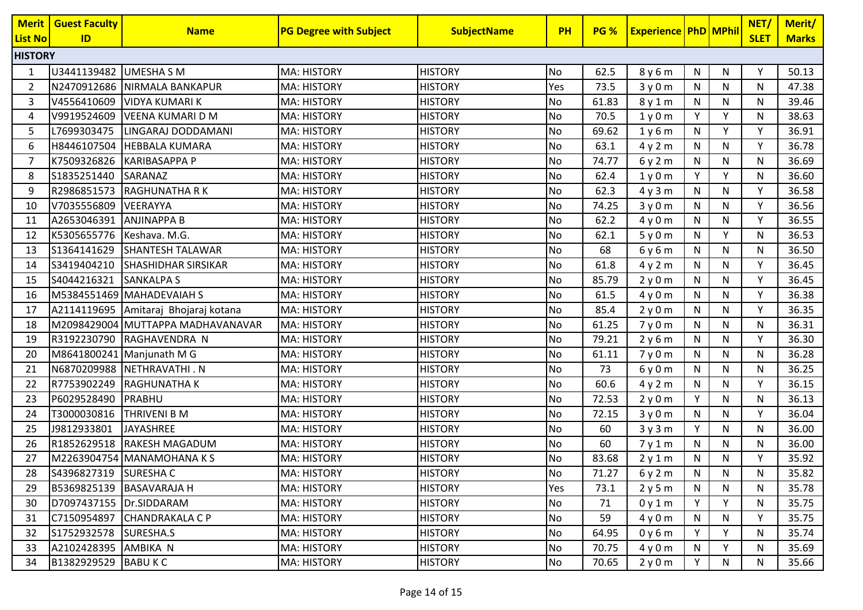| <b>Merit</b>   | <b>Guest Faculty</b>        | <b>Name</b>                          | <b>PG Degree with Subject</b> | <b>SubjectName</b> | <b>PH</b> | PG %  | <b>Experience PhD MPhil</b> |                |           | NET/         | Merit/       |
|----------------|-----------------------------|--------------------------------------|-------------------------------|--------------------|-----------|-------|-----------------------------|----------------|-----------|--------------|--------------|
| <b>List No</b> | ID                          |                                      |                               |                    |           |       |                             |                |           | <b>SLET</b>  | <b>Marks</b> |
| <b>HISTORY</b> |                             |                                      |                               |                    |           |       |                             |                |           |              |              |
| 1              | U3441139482                 | <b>UMESHA S M</b>                    | <b>MA: HISTORY</b>            | <b>HISTORY</b>     | No        | 62.5  | 8y6m                        | $\mathsf{N}$   | N         | Υ            | 50.13        |
| $\overline{2}$ |                             | N2470912686 NIRMALA BANKAPUR         | <b>MA: HISTORY</b>            | <b>HISTORY</b>     | Yes       | 73.5  | 3y0m                        | $\mathsf{N}$   | N         | N            | 47.38        |
| 3              | V4556410609                 | <b>VIDYA KUMARI K</b>                | <b>MA: HISTORY</b>            | <b>HISTORY</b>     | No        | 61.83 | 8y1m                        | $\mathsf{N}$   | N         | N            | 39.46        |
| 4              | V9919524609                 | <b>IVEENA KUMARI D M</b>             | <b>MA: HISTORY</b>            | <b>HISTORY</b>     | No        | 70.5  | 1y0m                        | Y              | Y         | N            | 38.63        |
| 5              | L7699303475                 | LINGARAJ DODDAMANI                   | MA: HISTORY                   | <b>HISTORY</b>     | No        | 69.62 | 1y6m                        | N              | Y         | v            | 36.91        |
| 6              | H8446107504                 | <b>HEBBALA KUMARA</b>                | <b>MA: HISTORY</b>            | <b>HISTORY</b>     | No        | 63.1  | 4y2m                        | $\mathsf{N}$   | N         | Y            | 36.78        |
| 7              | K7509326826                 | <b>KARIBASAPPA P</b>                 | <b>MA: HISTORY</b>            | <b>HISTORY</b>     | No        | 74.77 | 6y2m                        | $\mathsf{N}$   | N         | N            | 36.69        |
| 8              | S1835251440                 | SARANAZ                              | <b>MA: HISTORY</b>            | <b>HISTORY</b>     | No        | 62.4  | 1y0m                        | Y              | Y         | N            | 36.60        |
| 9              | R2986851573                 | RAGHUNATHA R K                       | <b>MA: HISTORY</b>            | <b>HISTORY</b>     | <b>No</b> | 62.3  | 4y3m                        | N              | N         | Y            | 36.58        |
| 10             | V7035556809                 | VEERAYYA                             | MA: HISTORY                   | <b>HISTORY</b>     | No        | 74.25 | 3y0m                        | N              | N         | Y            | 36.56        |
| 11             | A2653046391                 | <b>ANJINAPPA B</b>                   | <b>MA: HISTORY</b>            | <b>HISTORY</b>     | No        | 62.2  | 4y0m                        | N              | N         | V            | 36.55        |
| 12             | K5305655776   Keshava. M.G. |                                      | <b>MA: HISTORY</b>            | <b>HISTORY</b>     | No        | 62.1  | 5y0m                        | N              | Y         | N            | 36.53        |
| 13             | S1364141629                 | <b>SHANTESH TALAWAR</b>              | <b>MA: HISTORY</b>            | <b>HISTORY</b>     | No        | 68    | 6y6m                        | ${\sf N}$      | ${\sf N}$ | N            | 36.50        |
| 14             |                             | S3419404210 SHASHIDHAR SIRSIKAR      | <b>MA: HISTORY</b>            | <b>HISTORY</b>     | No        | 61.8  | 4y2m                        | N              | N         | Y            | 36.45        |
| 15             | S4044216321                 | <b>SANKALPA S</b>                    | <b>MA: HISTORY</b>            | <b>HISTORY</b>     | No        | 85.79 | 2y0m                        | N              | N         | Y            | 36.45        |
| 16             |                             | M5384551469 MAHADEVAIAH S            | <b>MA: HISTORY</b>            | <b>HISTORY</b>     | No        | 61.5  | 4y0m                        | N              | ${\sf N}$ | V            | 36.38        |
| 17             |                             | A2114119695 Amitaraj Bhojaraj kotana | <b>MA: HISTORY</b>            | <b>HISTORY</b>     | No        | 85.4  | 2y0m                        | N              | N         | v            | 36.35        |
| 18             |                             | M2098429004 MUTTAPPA MADHAVANAVAR    | <b>MA: HISTORY</b>            | <b>HISTORY</b>     | No        | 61.25 | 7y0m                        | N              | N         | N            | 36.31        |
| 19             |                             | R3192230790 RAGHAVENDRA N            | <b>MA: HISTORY</b>            | <b>HISTORY</b>     | No        | 79.21 | 2y6m                        | N              | N         | v            | 36.30        |
| 20             |                             | M8641800241 Manjunath M G            | <b>MA: HISTORY</b>            | <b>HISTORY</b>     | No        | 61.11 | 7y0m                        | ${\sf N}$      | ${\sf N}$ | N            | 36.28        |
| 21             |                             | N6870209988 NETHRAVATHI . N          | <b>MA: HISTORY</b>            | <b>HISTORY</b>     | No        | 73    | 6y0m                        | N              | N         | N            | 36.25        |
| 22             |                             | R7753902249 RAGHUNATHA K             | <b>MA: HISTORY</b>            | <b>HISTORY</b>     | No        | 60.6  | 4y2m                        | $\mathsf{N}$   | N         | Y            | 36.15        |
| 23             | P6029528490                 | PRABHU                               | <b>MA: HISTORY</b>            | <b>HISTORY</b>     | No        | 72.53 | 2y0m                        | Y              | N         | N            | 36.13        |
| 24             | T3000030816                 | THRIVENI B M                         | MA: HISTORY                   | <b>HISTORY</b>     | No        | 72.15 | 3y0m                        | N              | N         | v            | 36.04        |
| 25             | J9812933801                 | <b>JAYASHREE</b>                     | <b>MA: HISTORY</b>            | <b>HISTORY</b>     | No        | 60    | 3y3m                        | Y              | N         | N            | 36.00        |
| 26             |                             | R1852629518 RAKESH MAGADUM           | <b>MA: HISTORY</b>            | <b>HISTORY</b>     | No        | 60    | 7y1m                        | $\mathsf{N}$   | N         | N            | 36.00        |
| 27             |                             | M2263904754 MANAMOHANA K S           | <b>MA: HISTORY</b>            | <b>HISTORY</b>     | No        | 83.68 | 2y1m                        | $\mathsf{N}$   | ${\sf N}$ | Y            | 35.92        |
| 28             | S4396827319 SURESHAC        |                                      | <b>MA: HISTORY</b>            | <b>HISTORY</b>     | No        | 71.27 | 6 y 2 m                     | $\overline{N}$ | ${\sf N}$ | $\mathsf{N}$ | 35.82        |
| 29             |                             | B5369825139 BASAVARAJA H             | <b>MA: HISTORY</b>            | <b>HISTORY</b>     | Yes       | 73.1  | 2y5m                        | N              | N.        | N            | 35.78        |
| 30             | D7097437155 Dr.SIDDARAM     |                                      | <b>MA: HISTORY</b>            | <b>HISTORY</b>     | No        | 71    | 0y1m                        | Y              | Y         | N            | 35.75        |
| 31             |                             | C7150954897 CHANDRAKALA C P          | <b>MA: HISTORY</b>            | <b>HISTORY</b>     | No        | 59    | 4y0m                        | N              | N         | Υ            | 35.75        |
| 32             | S1752932578 SURESHA.S       |                                      | <b>MA: HISTORY</b>            | <b>HISTORY</b>     | No        | 64.95 | 0y6m                        | Y              | Y         | N            | 35.74        |
| 33             | A2102428395 AMBIKA N        |                                      | <b>MA: HISTORY</b>            | <b>HISTORY</b>     | No        | 70.75 | 4y0m                        | N              | Y         | N            | 35.69        |
| 34             | B1382929529 BABU KC         |                                      | <b>MA: HISTORY</b>            | <b>HISTORY</b>     | <b>No</b> | 70.65 | 2y0m                        | Y              | N         | N            | 35.66        |